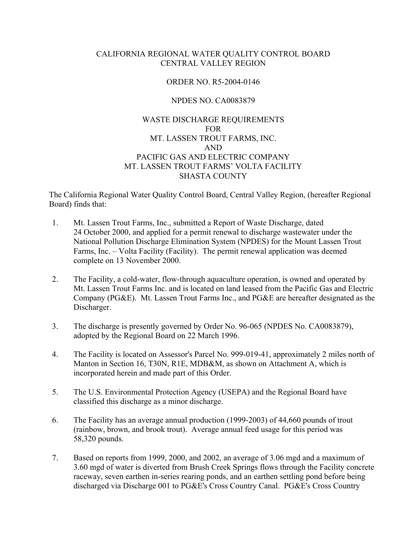# CALIFORNIA REGIONAL WATER QUALITY CONTROL BOARD CENTRAL VALLEY REGION

# ORDER NO. R5-2004-0146

# NPDES NO. CA0083879

# WASTE DISCHARGE REQUIREMENTS FOR MT. LASSEN TROUT FARMS, INC. AND PACIFIC GAS AND ELECTRIC COMPANY MT. LASSEN TROUT FARMS' VOLTA FACILITY SHASTA COUNTY

The California Regional Water Quality Control Board, Central Valley Region, (hereafter Regional Board) finds that:

- 1. Mt. Lassen Trout Farms, Inc., submitted a Report of Waste Discharge, dated 24 October 2000, and applied for a permit renewal to discharge wastewater under the National Pollution Discharge Elimination System (NPDES) for the Mount Lassen Trout Farms, Inc. – Volta Facility (Facility). The permit renewal application was deemed complete on 13 November 2000.
- 2. The Facility, a cold-water, flow-through aquaculture operation, is owned and operated by Mt. Lassen Trout Farms Inc. and is located on land leased from the Pacific Gas and Electric Company (PG&E). Mt. Lassen Trout Farms Inc., and PG&E are hereafter designated as the Discharger.
- 3. The discharge is presently governed by Order No. 96-065 (NPDES No. CA0083879), adopted by the Regional Board on 22 March 1996.
- 4. The Facility is located on Assessor's Parcel No. 999-019-41, approximately 2 miles north of Manton in Section 16, T30N, R1E, MDB&M, as shown on Attachment A, which is incorporated herein and made part of this Order.
- 5. The U.S. Environmental Protection Agency (USEPA) and the Regional Board have classified this discharge as a minor discharge.
- 6. The Facility has an average annual production (1999-2003) of 44,660 pounds of trout (rainbow, brown, and brook trout). Average annual feed usage for this period was 58,320 pounds.
- 7. Based on reports from 1999, 2000, and 2002, an average of 3.06 mgd and a maximum of 3.60 mgd of water is diverted from Brush Creek Springs flows through the Facility concrete raceway, seven earthen in-series rearing ponds, and an earthen settling pond before being discharged via Discharge 001 to PG&E's Cross Country Canal. PG&E's Cross Country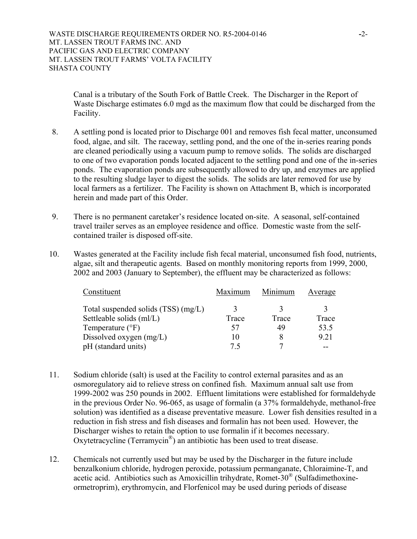Canal is a tributary of the South Fork of Battle Creek. The Discharger in the Report of Waste Discharge estimates 6.0 mgd as the maximum flow that could be discharged from the Facility.

- 8. A settling pond is located prior to Discharge 001 and removes fish fecal matter, unconsumed food, algae, and silt. The raceway, settling pond, and the one of the in-series rearing ponds are cleaned periodically using a vacuum pump to remove solids. The solids are discharged to one of two evaporation ponds located adjacent to the settling pond and one of the in-series ponds. The evaporation ponds are subsequently allowed to dry up, and enzymes are applied to the resulting sludge layer to digest the solids. The solids are later removed for use by local farmers as a fertilizer. The Facility is shown on Attachment B, which is incorporated herein and made part of this Order.
- 9. There is no permanent caretaker's residence located on-site. A seasonal, self-contained travel trailer serves as an employee residence and office. Domestic waste from the selfcontained trailer is disposed off-site.
- 10. Wastes generated at the Facility include fish fecal material, unconsumed fish food, nutrients, algae, silt and therapeutic agents. Based on monthly monitoring reports from 1999, 2000, 2002 and 2003 (January to September), the effluent may be characterized as follows:

| Constituent                         | Maximum | Minimum | Average |
|-------------------------------------|---------|---------|---------|
| Total suspended solids (TSS) (mg/L) |         |         |         |
| Settleable solids (ml/L)            | Trace   | Trace   | Trace   |
| Temperature $(^{\circ}F)$           | 57      | 49      | 53.5    |
| Dissolved oxygen (mg/L)             |         | 8       | 9.21    |
| pH (standard units)                 | 75      |         |         |

- 11. Sodium chloride (salt) is used at the Facility to control external parasites and as an osmoregulatory aid to relieve stress on confined fish. Maximum annual salt use from 1999-2002 was 250 pounds in 2002. Effluent limitations were established for formaldehyde in the previous Order No. 96-065, as usage of formalin (a 37% formaldehyde, methanol-free solution) was identified as a disease preventative measure. Lower fish densities resulted in a reduction in fish stress and fish diseases and formalin has not been used. However, the Discharger wishes to retain the option to use formalin if it becomes necessary. Oxytetracycline (Terramycin®) an antibiotic has been used to treat disease.
- 12. Chemicals not currently used but may be used by the Discharger in the future include benzalkonium chloride, hydrogen peroxide, potassium permanganate, Chloraimine-T, and acetic acid. Antibiotics such as Amoxicillin trihydrate, Romet-30® (Sulfadimethoxineormetroprim), erythromycin, and Florfenicol may be used during periods of disease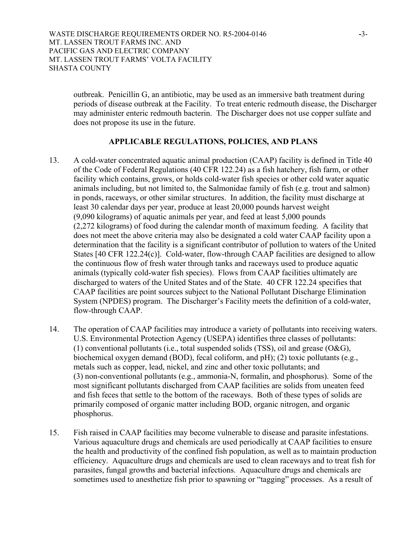outbreak. Penicillin G, an antibiotic, may be used as an immersive bath treatment during periods of disease outbreak at the Facility. To treat enteric redmouth disease, the Discharger may administer enteric redmouth bacterin. The Discharger does not use copper sulfate and does not propose its use in the future.

# **APPLICABLE REGULATIONS, POLICIES, AND PLANS**

- 13. A cold-water concentrated aquatic animal production (CAAP) facility is defined in Title 40 of the Code of Federal Regulations (40 CFR 122.24) as a fish hatchery, fish farm, or other facility which contains, grows, or holds cold-water fish species or other cold water aquatic animals including, but not limited to, the Salmonidae family of fish (e.g. trout and salmon) in ponds, raceways, or other similar structures. In addition, the facility must discharge at least 30 calendar days per year, produce at least 20,000 pounds harvest weight (9,090 kilograms) of aquatic animals per year, and feed at least 5,000 pounds (2,272 kilograms) of food during the calendar month of maximum feeding. A facility that does not meet the above criteria may also be designated a cold water CAAP facility upon a determination that the facility is a significant contributor of pollution to waters of the United States [40 CFR 122.24(c)]. Cold-water, flow-through CAAP facilities are designed to allow the continuous flow of fresh water through tanks and raceways used to produce aquatic animals (typically cold-water fish species). Flows from CAAP facilities ultimately are discharged to waters of the United States and of the State. 40 CFR 122.24 specifies that CAAP facilities are point sources subject to the National Pollutant Discharge Elimination System (NPDES) program. The Discharger's Facility meets the definition of a cold-water, flow-through CAAP.
- 14. The operation of CAAP facilities may introduce a variety of pollutants into receiving waters. U.S. Environmental Protection Agency (USEPA) identifies three classes of pollutants: (1) conventional pollutants (i.e., total suspended solids (TSS), oil and grease (O&G), biochemical oxygen demand (BOD), fecal coliform, and pH); (2) toxic pollutants (e.g., metals such as copper, lead, nickel, and zinc and other toxic pollutants; and (3) non-conventional pollutants (e.g., ammonia-N, formalin, and phosphorus). Some of the most significant pollutants discharged from CAAP facilities are solids from uneaten feed and fish feces that settle to the bottom of the raceways. Both of these types of solids are primarily composed of organic matter including BOD, organic nitrogen, and organic phosphorus.
- 15. Fish raised in CAAP facilities may become vulnerable to disease and parasite infestations. Various aquaculture drugs and chemicals are used periodically at CAAP facilities to ensure the health and productivity of the confined fish population, as well as to maintain production efficiency. Aquaculture drugs and chemicals are used to clean raceways and to treat fish for parasites, fungal growths and bacterial infections. Aquaculture drugs and chemicals are sometimes used to anesthetize fish prior to spawning or "tagging" processes. As a result of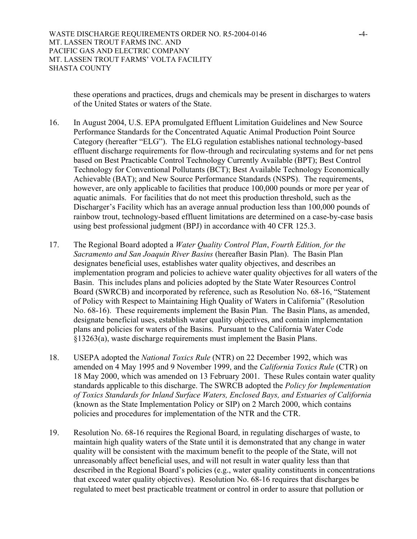WASTE DISCHARGE REQUIREMENTS ORDER NO. R5-2004-0146 **-**4- MT. LASSEN TROUT FARMS INC. AND PACIFIC GAS AND ELECTRIC COMPANY MT. LASSEN TROUT FARMS' VOLTA FACILITY SHASTA COUNTY

these operations and practices, drugs and chemicals may be present in discharges to waters of the United States or waters of the State.

- 16. In August 2004, U.S. EPA promulgated Effluent Limitation Guidelines and New Source Performance Standards for the Concentrated Aquatic Animal Production Point Source Category (hereafter "ELG"). The ELG regulation establishes national technology-based effluent discharge requirements for flow-through and recirculating systems and for net pens based on Best Practicable Control Technology Currently Available (BPT); Best Control Technology for Conventional Pollutants (BCT); Best Available Technology Economically Achievable (BAT); and New Source Performance Standards (NSPS). The requirements, however, are only applicable to facilities that produce 100,000 pounds or more per year of aquatic animals. For facilities that do not meet this production threshold, such as the Discharger's Facility which has an average annual production less than 100,000 pounds of rainbow trout, technology-based effluent limitations are determined on a case-by-case basis using best professional judgment (BPJ) in accordance with 40 CFR 125.3.
- 17. The Regional Board adopted a *Water Quality Control Plan*, *Fourth Edition, for the Sacramento and San Joaquin River Basins* (hereafter Basin Plan). The Basin Plan designates beneficial uses, establishes water quality objectives, and describes an implementation program and policies to achieve water quality objectives for all waters of the Basin. This includes plans and policies adopted by the State Water Resources Control Board (SWRCB) and incorporated by reference, such as Resolution No. 68-16, "Statement of Policy with Respect to Maintaining High Quality of Waters in California" (Resolution No. 68-16). These requirements implement the Basin Plan. The Basin Plans, as amended, designate beneficial uses, establish water quality objectives, and contain implementation plans and policies for waters of the Basins. Pursuant to the California Water Code §13263(a), waste discharge requirements must implement the Basin Plans.
- 18. USEPA adopted the *National Toxics Rule* (NTR) on 22 December 1992, which was amended on 4 May 1995 and 9 November 1999, and the *California Toxics Rule* (CTR) on 18 May 2000, which was amended on 13 February 2001. These Rules contain water quality standards applicable to this discharge. The SWRCB adopted the *Policy for Implementation of Toxics Standards for Inland Surface Waters, Enclosed Bays, and Estuaries of California* (known as the State Implementation Policy or SIP) on 2 March 2000, which contains policies and procedures for implementation of the NTR and the CTR.
- 19. Resolution No. 68-16 requires the Regional Board, in regulating discharges of waste, to maintain high quality waters of the State until it is demonstrated that any change in water quality will be consistent with the maximum benefit to the people of the State, will not unreasonably affect beneficial uses, and will not result in water quality less than that described in the Regional Board's policies (e.g., water quality constituents in concentrations that exceed water quality objectives). Resolution No. 68-16 requires that discharges be regulated to meet best practicable treatment or control in order to assure that pollution or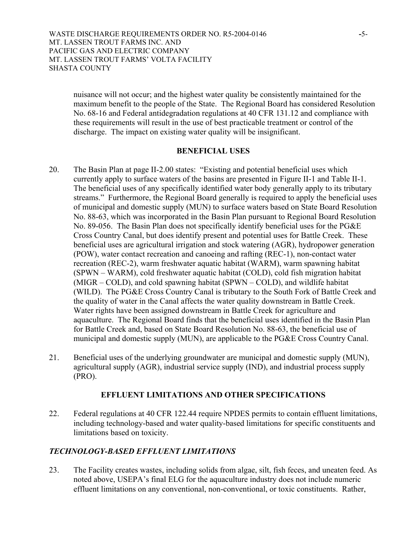nuisance will not occur; and the highest water quality be consistently maintained for the maximum benefit to the people of the State. The Regional Board has considered Resolution No. 68-16 and Federal antidegradation regulations at 40 CFR 131.12 and compliance with these requirements will result in the use of best practicable treatment or control of the discharge. The impact on existing water quality will be insignificant.

#### **BENEFICIAL USES**

- 20. The Basin Plan at page II-2.00 states: "Existing and potential beneficial uses which currently apply to surface waters of the basins are presented in Figure II-1 and Table II-1. The beneficial uses of any specifically identified water body generally apply to its tributary streams." Furthermore, the Regional Board generally is required to apply the beneficial uses of municipal and domestic supply (MUN) to surface waters based on State Board Resolution No. 88-63, which was incorporated in the Basin Plan pursuant to Regional Board Resolution No. 89-056. The Basin Plan does not specifically identify beneficial uses for the PG&E Cross Country Canal, but does identify present and potential uses for Battle Creek. These beneficial uses are agricultural irrigation and stock watering (AGR), hydropower generation (POW), water contact recreation and canoeing and rafting (REC-1), non-contact water recreation (REC-2), warm freshwater aquatic habitat (WARM), warm spawning habitat (SPWN – WARM), cold freshwater aquatic habitat (COLD), cold fish migration habitat (MIGR – COLD), and cold spawning habitat (SPWN – COLD), and wildlife habitat (WILD). The PG&E Cross Country Canal is tributary to the South Fork of Battle Creek and the quality of water in the Canal affects the water quality downstream in Battle Creek. Water rights have been assigned downstream in Battle Creek for agriculture and aquaculture. The Regional Board finds that the beneficial uses identified in the Basin Plan for Battle Creek and, based on State Board Resolution No. 88-63, the beneficial use of municipal and domestic supply (MUN), are applicable to the PG&E Cross Country Canal.
- 21. Beneficial uses of the underlying groundwater are municipal and domestic supply (MUN), agricultural supply (AGR), industrial service supply (IND), and industrial process supply (PRO).

# **EFFLUENT LIMITATIONS AND OTHER SPECIFICATIONS**

22. Federal regulations at 40 CFR 122.44 require NPDES permits to contain effluent limitations, including technology-based and water quality-based limitations for specific constituents and limitations based on toxicity.

# *TECHNOLOGY-BASED EFFLUENT LIMITATIONS*

23. The Facility creates wastes, including solids from algae, silt, fish feces, and uneaten feed. As noted above, USEPA's final ELG for the aquaculture industry does not include numeric effluent limitations on any conventional, non-conventional, or toxic constituents. Rather,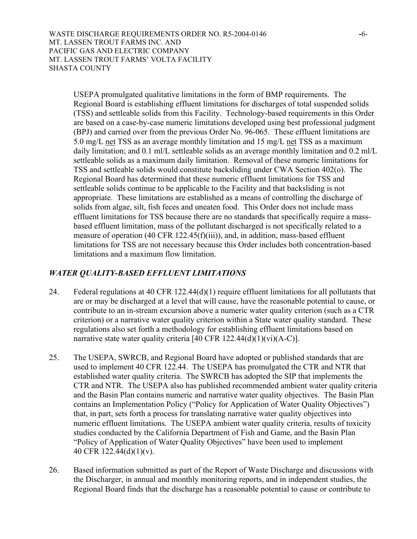WASTE DISCHARGE REQUIREMENTS ORDER NO. R5-2004-0146 **-**6- MT. LASSEN TROUT FARMS INC. AND PACIFIC GAS AND ELECTRIC COMPANY MT. LASSEN TROUT FARMS' VOLTA FACILITY SHASTA COUNTY

USEPA promulgated qualitative limitations in the form of BMP requirements. The Regional Board is establishing effluent limitations for discharges of total suspended solids (TSS) and settleable solids from this Facility. Technology-based requirements in this Order are based on a case-by-case numeric limitations developed using best professional judgment (BPJ) and carried over from the previous Order No. 96-065. These effluent limitations are 5.0 mg/L net TSS as an average monthly limitation and 15 mg/L net TSS as a maximum daily limitation; and 0.1 ml/L settleable solids as an average monthly limitation and 0.2 ml/L settleable solids as a maximum daily limitation. Removal of these numeric limitations for TSS and settleable solids would constitute backsliding under CWA Section 402(o). The Regional Board has determined that these numeric effluent limitations for TSS and settleable solids continue to be applicable to the Facility and that backsliding is not appropriate. These limitations are established as a means of controlling the discharge of solids from algae, silt, fish feces and uneaten food. This Order does not include mass effluent limitations for TSS because there are no standards that specifically require a massbased effluent limitation, mass of the pollutant discharged is not specifically related to a measure of operation (40 CFR 122.45(f)(iii)), and, in addition, mass-based effluent limitations for TSS are not necessary because this Order includes both concentration-based limitations and a maximum flow limitation.

# *WATER QUALITY-BASED EFFLUENT LIMITATIONS*

- 24. Federal regulations at 40 CFR 122.44(d)(1) require effluent limitations for all pollutants that are or may be discharged at a level that will cause, have the reasonable potential to cause, or contribute to an in-stream excursion above a numeric water quality criterion (such as a CTR criterion) or a narrative water quality criterion within a State water quality standard. These regulations also set forth a methodology for establishing effluent limitations based on narrative state water quality criteria [40 CFR  $122.44(d)(1)(vi)(A-C)$ ].
- 25. The USEPA, SWRCB, and Regional Board have adopted or published standards that are used to implement 40 CFR 122.44. The USEPA has promulgated the CTR and NTR that established water quality criteria. The SWRCB has adopted the SIP that implements the CTR and NTR. The USEPA also has published recommended ambient water quality criteria and the Basin Plan contains numeric and narrative water quality objectives. The Basin Plan contains an Implementation Policy ("Policy for Application of Water Quality Objectives") that, in part, sets forth a process for translating narrative water quality objectives into numeric effluent limitations. The USEPA ambient water quality criteria, results of toxicity studies conducted by the California Department of Fish and Game, and the Basin Plan "Policy of Application of Water Quality Objectives" have been used to implement 40 CFR 122.44(d)(1)(v).
- 26. Based information submitted as part of the Report of Waste Discharge and discussions with the Discharger, in annual and monthly monitoring reports, and in independent studies, the Regional Board finds that the discharge has a reasonable potential to cause or contribute to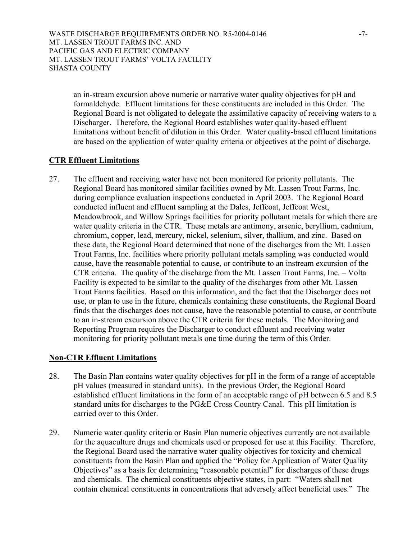WASTE DISCHARGE REQUIREMENTS ORDER NO. R5-2004-0146 **-**7- MT. LASSEN TROUT FARMS INC. AND PACIFIC GAS AND ELECTRIC COMPANY MT. LASSEN TROUT FARMS' VOLTA FACILITY SHASTA COUNTY

an in-stream excursion above numeric or narrative water quality objectives for pH and formaldehyde. Effluent limitations for these constituents are included in this Order. The Regional Board is not obligated to delegate the assimilative capacity of receiving waters to a Discharger. Therefore, the Regional Board establishes water quality-based effluent limitations without benefit of dilution in this Order. Water quality-based effluent limitations are based on the application of water quality criteria or objectives at the point of discharge.

# **CTR Effluent Limitations**

27. The effluent and receiving water have not been monitored for priority pollutants. The Regional Board has monitored similar facilities owned by Mt. Lassen Trout Farms, Inc. during compliance evaluation inspections conducted in April 2003. The Regional Board conducted influent and effluent sampling at the Dales, Jeffcoat, Jeffcoat West, Meadowbrook, and Willow Springs facilities for priority pollutant metals for which there are water quality criteria in the CTR. These metals are antimony, arsenic, beryllium, cadmium, chromium, copper, lead, mercury, nickel, selenium, silver, thallium, and zinc. Based on these data, the Regional Board determined that none of the discharges from the Mt. Lassen Trout Farms, Inc. facilities where priority pollutant metals sampling was conducted would cause, have the reasonable potential to cause, or contribute to an instream excursion of the CTR criteria. The quality of the discharge from the Mt. Lassen Trout Farms, Inc. – Volta Facility is expected to be similar to the quality of the discharges from other Mt. Lassen Trout Farms facilities. Based on this information, and the fact that the Discharger does not use, or plan to use in the future, chemicals containing these constituents, the Regional Board finds that the discharges does not cause, have the reasonable potential to cause, or contribute to an in-stream excursion above the CTR criteria for these metals. The Monitoring and Reporting Program requires the Discharger to conduct effluent and receiving water monitoring for priority pollutant metals one time during the term of this Order.

# **Non-CTR Effluent Limitations**

- 28. The Basin Plan contains water quality objectives for pH in the form of a range of acceptable pH values (measured in standard units). In the previous Order, the Regional Board established effluent limitations in the form of an acceptable range of pH between 6.5 and 8.5 standard units for discharges to the PG&E Cross Country Canal. This pH limitation is carried over to this Order.
- 29. Numeric water quality criteria or Basin Plan numeric objectives currently are not available for the aquaculture drugs and chemicals used or proposed for use at this Facility. Therefore, the Regional Board used the narrative water quality objectives for toxicity and chemical constituents from the Basin Plan and applied the "Policy for Application of Water Quality Objectives" as a basis for determining "reasonable potential" for discharges of these drugs and chemicals. The chemical constituents objective states, in part: "Waters shall not contain chemical constituents in concentrations that adversely affect beneficial uses." The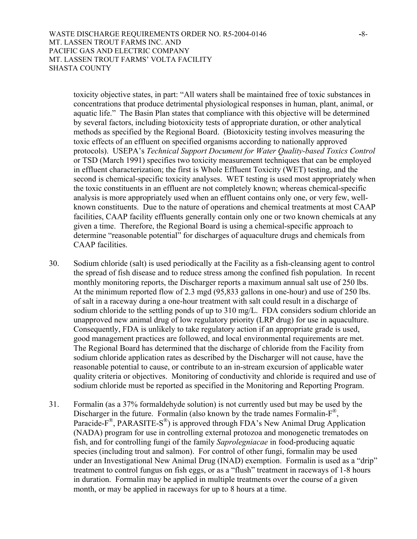toxicity objective states, in part: "All waters shall be maintained free of toxic substances in concentrations that produce detrimental physiological responses in human, plant, animal, or aquatic life." The Basin Plan states that compliance with this objective will be determined by several factors, including biotoxicity tests of appropriate duration, or other analytical methods as specified by the Regional Board. (Biotoxicity testing involves measuring the toxic effects of an effluent on specified organisms according to nationally approved protocols). USEPA's *Technical Support Document for Water Quality-based Toxics Control*  or TSD (March 1991) specifies two toxicity measurement techniques that can be employed in effluent characterization; the first is Whole Effluent Toxicity (WET) testing, and the second is chemical-specific toxicity analyses. WET testing is used most appropriately when the toxic constituents in an effluent are not completely known; whereas chemical-specific analysis is more appropriately used when an effluent contains only one, or very few, wellknown constituents. Due to the nature of operations and chemical treatments at most CAAP facilities, CAAP facility effluents generally contain only one or two known chemicals at any given a time. Therefore, the Regional Board is using a chemical-specific approach to determine "reasonable potential" for discharges of aquaculture drugs and chemicals from CAAP facilities.

- 30. Sodium chloride (salt) is used periodically at the Facility as a fish-cleansing agent to control the spread of fish disease and to reduce stress among the confined fish population. In recent monthly monitoring reports, the Discharger reports a maximum annual salt use of 250 lbs. At the minimum reported flow of 2.3 mgd (95,833 gallons in one-hour) and use of 250 lbs. of salt in a raceway during a one-hour treatment with salt could result in a discharge of sodium chloride to the settling ponds of up to 310 mg/L. FDA considers sodium chloride an unapproved new animal drug of low regulatory priority (LRP drug) for use in aquaculture. Consequently, FDA is unlikely to take regulatory action if an appropriate grade is used, good management practices are followed, and local environmental requirements are met. The Regional Board has determined that the discharge of chloride from the Facility from sodium chloride application rates as described by the Discharger will not cause, have the reasonable potential to cause, or contribute to an in-stream excursion of applicable water quality criteria or objectives. Monitoring of conductivity and chloride is required and use of sodium chloride must be reported as specified in the Monitoring and Reporting Program.
- 31. Formalin (as a 37% formaldehyde solution) is not currently used but may be used by the Discharger in the future. Formalin (also known by the trade names Formalin-F<sup>®</sup>, Paracide- $F^{\circledast}$ , PARASITE-S<sup> $\circledast$ </sup>) is approved through FDA's New Animal Drug Application (NADA) program for use in controlling external protozoa and monogenetic trematodes on fish, and for controlling fungi of the family *Saprolegniacae* in food-producing aquatic species (including trout and salmon). For control of other fungi, formalin may be used under an Investigational New Animal Drug (INAD) exemption. Formalin is used as a "drip" treatment to control fungus on fish eggs, or as a "flush" treatment in raceways of 1-8 hours in duration. Formalin may be applied in multiple treatments over the course of a given month, or may be applied in raceways for up to 8 hours at a time.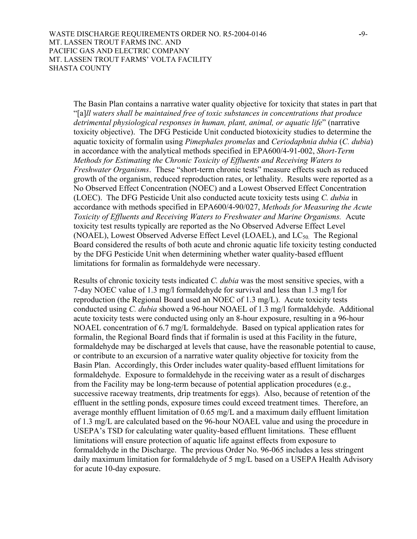The Basin Plan contains a narrative water quality objective for toxicity that states in part that "[a]*ll waters shall be maintained free of toxic substances in concentrations that produce detrimental physiological responses in human, plant, animal, or aquatic life*" (narrative toxicity objective). The DFG Pesticide Unit conducted biotoxicity studies to determine the aquatic toxicity of formalin using *Pimephales promelas* and *Ceriodaphnia dubia* (*C. dubia*) in accordance with the analytical methods specified in EPA600/4-91-002, *Short-Term Methods for Estimating the Chronic Toxicity of Effluents and Receiving Waters to Freshwater Organisms*. These "short-term chronic tests" measure effects such as reduced growth of the organism, reduced reproduction rates, or lethality. Results were reported as a No Observed Effect Concentration (NOEC) and a Lowest Observed Effect Concentration (LOEC). The DFG Pesticide Unit also conducted acute toxicity tests using *C. dubia* in accordance with methods specified in EPA600/4-90/027, *Methods for Measuring the Acute Toxicity of Effluents and Receiving Waters to Freshwater and Marine Organisms.* Acute toxicity test results typically are reported as the No Observed Adverse Effect Level (NOAEL), Lowest Observed Adverse Effect Level (LOAEL), and  $LC_{50}$ . The Regional Board considered the results of both acute and chronic aquatic life toxicity testing conducted by the DFG Pesticide Unit when determining whether water quality-based effluent limitations for formalin as formaldehyde were necessary.

Results of chronic toxicity tests indicated *C. dubia* was the most sensitive species, with a 7-day NOEC value of 1.3 mg/l formaldehyde for survival and less than 1.3 mg/l for reproduction (the Regional Board used an NOEC of 1.3 mg/L). Acute toxicity tests conducted using *C. dubia* showed a 96-hour NOAEL of 1.3 mg/l formaldehyde. Additional acute toxicity tests were conducted using only an 8-hour exposure, resulting in a 96-hour NOAEL concentration of 6.7 mg/L formaldehyde. Based on typical application rates for formalin, the Regional Board finds that if formalin is used at this Facility in the future, formaldehyde may be discharged at levels that cause, have the reasonable potential to cause, or contribute to an excursion of a narrative water quality objective for toxicity from the Basin Plan. Accordingly, this Order includes water quality-based effluent limitations for formaldehyde. Exposure to formaldehyde in the receiving water as a result of discharges from the Facility may be long-term because of potential application procedures (e.g., successive raceway treatments, drip treatments for eggs). Also, because of retention of the effluent in the settling ponds, exposure times could exceed treatment times. Therefore, an average monthly effluent limitation of 0.65 mg/L and a maximum daily effluent limitation of 1.3 mg/L are calculated based on the 96-hour NOAEL value and using the procedure in USEPA's TSD for calculating water quality-based effluent limitations. These effluent limitations will ensure protection of aquatic life against effects from exposure to formaldehyde in the Discharge. The previous Order No. 96-065 includes a less stringent daily maximum limitation for formaldehyde of 5 mg/L based on a USEPA Health Advisory for acute 10-day exposure.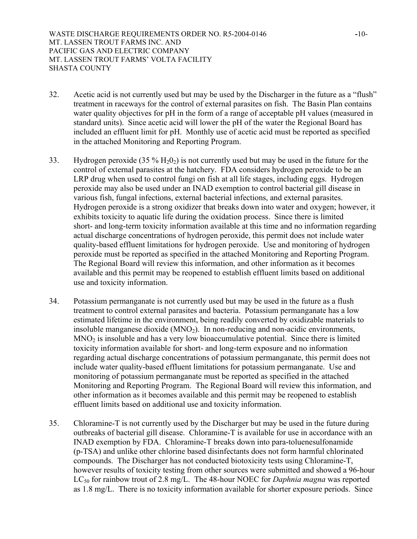WASTE DISCHARGE REQUIREMENTS ORDER NO. R5-2004-0146 **-**10- MT. LASSEN TROUT FARMS INC. AND PACIFIC GAS AND ELECTRIC COMPANY MT. LASSEN TROUT FARMS' VOLTA FACILITY SHASTA COUNTY

- 32. Acetic acid is not currently used but may be used by the Discharger in the future as a "flush" treatment in raceways for the control of external parasites on fish. The Basin Plan contains water quality objectives for pH in the form of a range of acceptable pH values (measured in standard units). Since acetic acid will lower the pH of the water the Regional Board has included an effluent limit for pH. Monthly use of acetic acid must be reported as specified in the attached Monitoring and Reporting Program.
- 33. Hydrogen peroxide (35 %  $H_2O_2$ ) is not currently used but may be used in the future for the control of external parasites at the hatchery. FDA considers hydrogen peroxide to be an LRP drug when used to control fungi on fish at all life stages, including eggs. Hydrogen peroxide may also be used under an INAD exemption to control bacterial gill disease in various fish, fungal infections, external bacterial infections, and external parasites. Hydrogen peroxide is a strong oxidizer that breaks down into water and oxygen; however, it exhibits toxicity to aquatic life during the oxidation process. Since there is limited short- and long-term toxicity information available at this time and no information regarding actual discharge concentrations of hydrogen peroxide, this permit does not include water quality-based effluent limitations for hydrogen peroxide. Use and monitoring of hydrogen peroxide must be reported as specified in the attached Monitoring and Reporting Program. The Regional Board will review this information, and other information as it becomes available and this permit may be reopened to establish effluent limits based on additional use and toxicity information.
- 34. Potassium permanganate is not currently used but may be used in the future as a flush treatment to control external parasites and bacteria. Potassium permanganate has a low estimated lifetime in the environment, being readily converted by oxidizable materials to insoluble manganese dioxide  $(MNO<sub>2</sub>)$ . In non-reducing and non-acidic environments,  $MNO<sub>2</sub>$  is insoluble and has a very low bioaccumulative potential. Since there is limited toxicity information available for short- and long-term exposure and no information regarding actual discharge concentrations of potassium permanganate, this permit does not include water quality-based effluent limitations for potassium permanganate. Use and monitoring of potassium permanganate must be reported as specified in the attached Monitoring and Reporting Program. The Regional Board will review this information, and other information as it becomes available and this permit may be reopened to establish effluent limits based on additional use and toxicity information.
- 35. Chloramine-T is not currently used by the Discharger but may be used in the future during outbreaks of bacterial gill disease. Chloramine-T is available for use in accordance with an INAD exemption by FDA. Chloramine-T breaks down into para-toluenesulfonamide (p-TSA) and unlike other chlorine based disinfectants does not form harmful chlorinated compounds. The Discharger has not conducted biotoxicity tests using Chloramine-T, however results of toxicity testing from other sources were submitted and showed a 96-hour LC50 for rainbow trout of 2.8 mg/L. The 48-hour NOEC for *Daphnia magna* was reported as 1.8 mg/L. There is no toxicity information available for shorter exposure periods. Since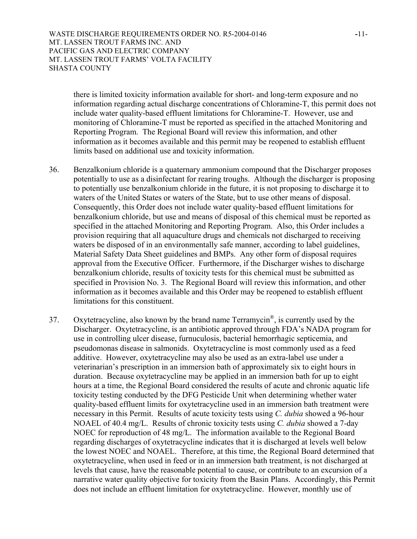WASTE DISCHARGE REQUIREMENTS ORDER NO. R5-2004-0146 **-**11- MT. LASSEN TROUT FARMS INC. AND PACIFIC GAS AND ELECTRIC COMPANY MT. LASSEN TROUT FARMS' VOLTA FACILITY SHASTA COUNTY

there is limited toxicity information available for short- and long-term exposure and no information regarding actual discharge concentrations of Chloramine-T, this permit does not include water quality-based effluent limitations for Chloramine-T. However, use and monitoring of Chloramine-T must be reported as specified in the attached Monitoring and Reporting Program. The Regional Board will review this information, and other information as it becomes available and this permit may be reopened to establish effluent limits based on additional use and toxicity information.

- 36. Benzalkonium chloride is a quaternary ammonium compound that the Discharger proposes potentially to use as a disinfectant for rearing troughs. Although the discharger is proposing to potentially use benzalkonium chloride in the future, it is not proposing to discharge it to waters of the United States or waters of the State, but to use other means of disposal. Consequently, this Order does not include water quality-based effluent limitations for benzalkonium chloride, but use and means of disposal of this chemical must be reported as specified in the attached Monitoring and Reporting Program. Also, this Order includes a provision requiring that all aquaculture drugs and chemicals not discharged to receiving waters be disposed of in an environmentally safe manner, according to label guidelines, Material Safety Data Sheet guidelines and BMPs. Any other form of disposal requires approval from the Executive Officer. Furthermore, if the Discharger wishes to discharge benzalkonium chloride, results of toxicity tests for this chemical must be submitted as specified in Provision No. 3. The Regional Board will review this information, and other information as it becomes available and this Order may be reopened to establish effluent limitations for this constituent.
- 37. Oxytetracycline, also known by the brand name  $Ternamycin^{\circledR}$ , is currently used by the Discharger. Oxytetracycline, is an antibiotic approved through FDA's NADA program for use in controlling ulcer disease, furnuculosis, bacterial hemorrhagic septicemia, and pseudomonas disease in salmonids. Oxytetracycline is most commonly used as a feed additive. However, oxytetracycline may also be used as an extra-label use under a veterinarian's prescription in an immersion bath of approximately six to eight hours in duration. Because oxytetracycline may be applied in an immersion bath for up to eight hours at a time, the Regional Board considered the results of acute and chronic aquatic life toxicity testing conducted by the DFG Pesticide Unit when determining whether water quality-based effluent limits for oxytetracycline used in an immersion bath treatment were necessary in this Permit. Results of acute toxicity tests using *C. dubia* showed a 96-hour NOAEL of 40.4 mg/L. Results of chronic toxicity tests using *C. dubia* showed a 7-day NOEC for reproduction of 48 mg/L. The information available to the Regional Board regarding discharges of oxytetracycline indicates that it is discharged at levels well below the lowest NOEC and NOAEL. Therefore, at this time, the Regional Board determined that oxytetracycline, when used in feed or in an immersion bath treatment, is not discharged at levels that cause, have the reasonable potential to cause, or contribute to an excursion of a narrative water quality objective for toxicity from the Basin Plans. Accordingly, this Permit does not include an effluent limitation for oxytetracycline. However, monthly use of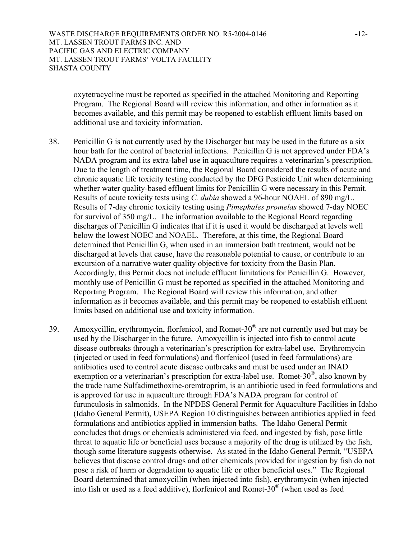oxytetracycline must be reported as specified in the attached Monitoring and Reporting Program. The Regional Board will review this information, and other information as it becomes available, and this permit may be reopened to establish effluent limits based on additional use and toxicity information.

- 38. Penicillin G is not currently used by the Discharger but may be used in the future as a six hour bath for the control of bacterial infections. Penicillin G is not approved under FDA's NADA program and its extra-label use in aquaculture requires a veterinarian's prescription. Due to the length of treatment time, the Regional Board considered the results of acute and chronic aquatic life toxicity testing conducted by the DFG Pesticide Unit when determining whether water quality-based effluent limits for Penicillin G were necessary in this Permit. Results of acute toxicity tests using *C. dubia* showed a 96-hour NOAEL of 890 mg/L. Results of 7-day chronic toxicity testing using *Pimephales promelas* showed 7-day NOEC for survival of 350 mg/L. The information available to the Regional Board regarding discharges of Penicillin G indicates that if it is used it would be discharged at levels well below the lowest NOEC and NOAEL. Therefore, at this time, the Regional Board determined that Penicillin G, when used in an immersion bath treatment, would not be discharged at levels that cause, have the reasonable potential to cause, or contribute to an excursion of a narrative water quality objective for toxicity from the Basin Plan. Accordingly, this Permit does not include effluent limitations for Penicillin G. However, monthly use of Penicillin G must be reported as specified in the attached Monitoring and Reporting Program. The Regional Board will review this information, and other information as it becomes available, and this permit may be reopened to establish effluent limits based on additional use and toxicity information.
- 39. Amoxycillin, erythromycin, florfenicol, and Romet-30 $^{\circ}$  are not currently used but may be used by the Discharger in the future. Amoxycillin is injected into fish to control acute disease outbreaks through a veterinarian's prescription for extra-label use. Erythromycin (injected or used in feed formulations) and florfenicol (used in feed formulations) are antibiotics used to control acute disease outbreaks and must be used under an INAD exemption or a veterinarian's prescription for extra-label use. Romet-30®, also known by the trade name Sulfadimethoxine-oremtroprim, is an antibiotic used in feed formulations and is approved for use in aquaculture through FDA's NADA program for control of furunculosis in salmonids. In the NPDES General Permit for Aquaculture Facilities in Idaho (Idaho General Permit), USEPA Region 10 distinguishes between antibiotics applied in feed formulations and antibiotics applied in immersion baths. The Idaho General Permit concludes that drugs or chemicals administered via feed, and ingested by fish, pose little threat to aquatic life or beneficial uses because a majority of the drug is utilized by the fish, though some literature suggests otherwise. As stated in the Idaho General Permit, "USEPA believes that disease control drugs and other chemicals provided for ingestion by fish do not pose a risk of harm or degradation to aquatic life or other beneficial uses." The Regional Board determined that amoxycillin (when injected into fish), erythromycin (when injected into fish or used as a feed additive), florfenicol and Romet-30® (when used as feed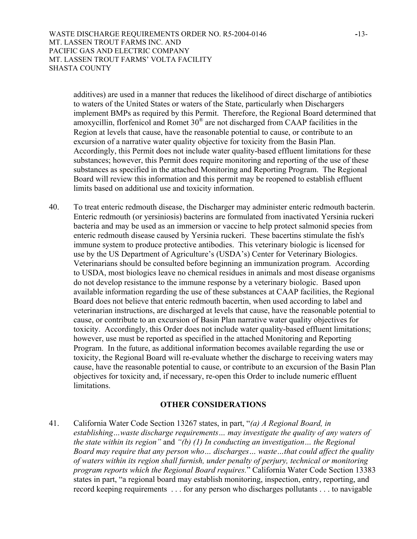WASTE DISCHARGE REQUIREMENTS ORDER NO. R5-2004-0146 **-**13- MT. LASSEN TROUT FARMS INC. AND PACIFIC GAS AND ELECTRIC COMPANY MT. LASSEN TROUT FARMS' VOLTA FACILITY SHASTA COUNTY

additives) are used in a manner that reduces the likelihood of direct discharge of antibiotics to waters of the United States or waters of the State, particularly when Dischargers implement BMPs as required by this Permit. Therefore, the Regional Board determined that amoxycillin, florfenicol and Romet 30® are not discharged from CAAP facilities in the Region at levels that cause, have the reasonable potential to cause, or contribute to an excursion of a narrative water quality objective for toxicity from the Basin Plan. Accordingly, this Permit does not include water quality-based effluent limitations for these substances; however, this Permit does require monitoring and reporting of the use of these substances as specified in the attached Monitoring and Reporting Program. The Regional Board will review this information and this permit may be reopened to establish effluent limits based on additional use and toxicity information.

40. To treat enteric redmouth disease, the Discharger may administer enteric redmouth bacterin. Enteric redmouth (or yersiniosis) bacterins are formulated from inactivated Yersinia ruckeri bacteria and may be used as an immersion or vaccine to help protect salmonid species from enteric redmouth disease caused by Yersinia ruckeri. These bacertins stimulate the fish's immune system to produce protective antibodies. This veterinary biologic is licensed for use by the US Department of Agriculture's (USDA's) Center for Veterinary Biologics. Veterinarians should be consulted before beginning an immunization program. According to USDA, most biologics leave no chemical residues in animals and most disease organisms do not develop resistance to the immune response by a veterinary biologic. Based upon available information regarding the use of these substances at CAAP facilities, the Regional Board does not believe that enteric redmouth bacertin, when used according to label and veterinarian instructions, are discharged at levels that cause, have the reasonable potential to cause, or contribute to an excursion of Basin Plan narrative water quality objectives for toxicity. Accordingly, this Order does not include water quality-based effluent limitations; however, use must be reported as specified in the attached Monitoring and Reporting Program. In the future, as additional information becomes available regarding the use or toxicity, the Regional Board will re-evaluate whether the discharge to receiving waters may cause, have the reasonable potential to cause, or contribute to an excursion of the Basin Plan objectives for toxicity and, if necessary, re-open this Order to include numeric effluent limitations.

## **OTHER CONSIDERATIONS**

41. California Water Code Section 13267 states, in part, "*(a) A Regional Board, in establishing…waste discharge requirements… may investigate the quality of any waters of the state within its region"* and *"(b) (1) In conducting an investigation… the Regional Board may require that any person who… discharges… waste…that could affect the quality of waters within its region shall furnish, under penalty of perjury, technical or monitoring program reports which the Regional Board requires.*" California Water Code Section 13383 states in part, "a regional board may establish monitoring, inspection, entry, reporting, and record keeping requirements . . . for any person who discharges pollutants . . . to navigable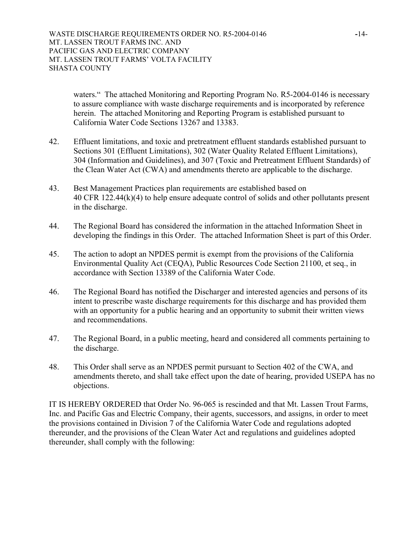waters." The attached Monitoring and Reporting Program No. R5-2004-0146 is necessary to assure compliance with waste discharge requirements and is incorporated by reference herein. The attached Monitoring and Reporting Program is established pursuant to California Water Code Sections 13267 and 13383.

- 42. Effluent limitations, and toxic and pretreatment effluent standards established pursuant to Sections 301 (Effluent Limitations), 302 (Water Quality Related Effluent Limitations), 304 (Information and Guidelines), and 307 (Toxic and Pretreatment Effluent Standards) of the Clean Water Act (CWA) and amendments thereto are applicable to the discharge.
- 43. Best Management Practices plan requirements are established based on 40 CFR 122.44(k)(4) to help ensure adequate control of solids and other pollutants present in the discharge.
- 44. The Regional Board has considered the information in the attached Information Sheet in developing the findings in this Order. The attached Information Sheet is part of this Order.
- 45. The action to adopt an NPDES permit is exempt from the provisions of the California Environmental Quality Act (CEQA), Public Resources Code Section 21100, et seq., in accordance with Section 13389 of the California Water Code.
- 46. The Regional Board has notified the Discharger and interested agencies and persons of its intent to prescribe waste discharge requirements for this discharge and has provided them with an opportunity for a public hearing and an opportunity to submit their written views and recommendations.
- 47. The Regional Board, in a public meeting, heard and considered all comments pertaining to the discharge.
- 48. This Order shall serve as an NPDES permit pursuant to Section 402 of the CWA, and amendments thereto, and shall take effect upon the date of hearing, provided USEPA has no objections.

IT IS HEREBY ORDERED that Order No. 96-065 is rescinded and that Mt. Lassen Trout Farms, Inc. and Pacific Gas and Electric Company, their agents, successors, and assigns, in order to meet the provisions contained in Division 7 of the California Water Code and regulations adopted thereunder, and the provisions of the Clean Water Act and regulations and guidelines adopted thereunder, shall comply with the following: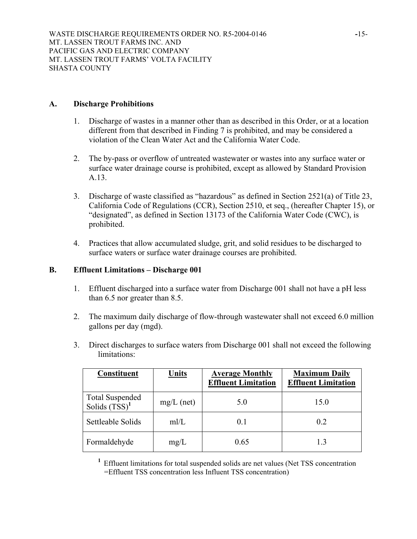# **A. Discharge Prohibitions**

- 1. Discharge of wastes in a manner other than as described in this Order, or at a location different from that described in Finding 7 is prohibited, and may be considered a violation of the Clean Water Act and the California Water Code.
- 2. The by-pass or overflow of untreated wastewater or wastes into any surface water or surface water drainage course is prohibited, except as allowed by Standard Provision A.13.
- 3. Discharge of waste classified as "hazardous" as defined in Section 2521(a) of Title 23, California Code of Regulations (CCR), Section 2510, et seq., (hereafter Chapter 15), or "designated", as defined in Section 13173 of the California Water Code (CWC), is prohibited.
- 4. Practices that allow accumulated sludge, grit, and solid residues to be discharged to surface waters or surface water drainage courses are prohibited.

#### **B. Effluent Limitations – Discharge 001**

- 1. Effluent discharged into a surface water from Discharge 001 shall not have a pH less than 6.5 nor greater than 8.5.
- 2. The maximum daily discharge of flow-through wastewater shall not exceed 6.0 million gallons per day (mgd).
- 3. Direct discharges to surface waters from Discharge 001 shall not exceed the following limitations:

| Constituent                                | <u>Units</u> | <b>Average Monthly</b><br><b>Effluent Limitation</b> | <b>Maximum Daily</b><br><b>Effluent Limitation</b> |
|--------------------------------------------|--------------|------------------------------------------------------|----------------------------------------------------|
| <b>Total Suspended</b><br>Solids $(TSS)^1$ | $mg/L$ (net) | 5.0                                                  | 15.0                                               |
| Settleable Solids                          | m/L          | 0.1                                                  | 02                                                 |
| Formaldehyde                               | mg/L         | 0.65                                                 | 13                                                 |

<sup>1</sup> Effluent limitations for total suspended solids are net values (Net TSS concentration =Effluent TSS concentration less Influent TSS concentration)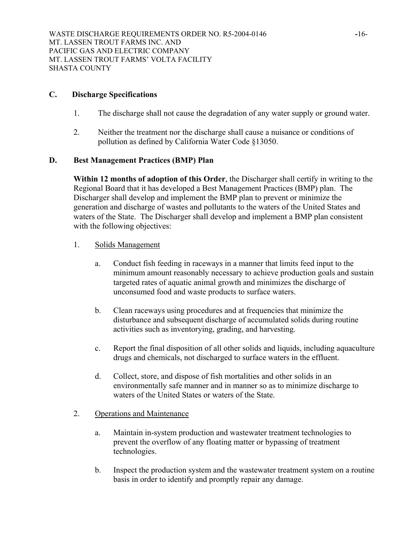# **C. Discharge Specifications**

- 1. The discharge shall not cause the degradation of any water supply or ground water.
- 2. Neither the treatment nor the discharge shall cause a nuisance or conditions of pollution as defined by California Water Code §13050.

# **D. Best Management Practices (BMP) Plan**

**Within 12 months of adoption of this Order**, the Discharger shall certify in writing to the Regional Board that it has developed a Best Management Practices (BMP) plan. The Discharger shall develop and implement the BMP plan to prevent or minimize the generation and discharge of wastes and pollutants to the waters of the United States and waters of the State. The Discharger shall develop and implement a BMP plan consistent with the following objectives:

- 1. Solids Management
	- a. Conduct fish feeding in raceways in a manner that limits feed input to the minimum amount reasonably necessary to achieve production goals and sustain targeted rates of aquatic animal growth and minimizes the discharge of unconsumed food and waste products to surface waters.
	- b. Clean raceways using procedures and at frequencies that minimize the disturbance and subsequent discharge of accumulated solids during routine activities such as inventorying, grading, and harvesting.
	- c. Report the final disposition of all other solids and liquids, including aquaculture drugs and chemicals, not discharged to surface waters in the effluent.
	- d. Collect, store, and dispose of fish mortalities and other solids in an environmentally safe manner and in manner so as to minimize discharge to waters of the United States or waters of the State.

# 2. Operations and Maintenance

- a. Maintain in-system production and wastewater treatment technologies to prevent the overflow of any floating matter or bypassing of treatment technologies.
- b. Inspect the production system and the wastewater treatment system on a routine basis in order to identify and promptly repair any damage.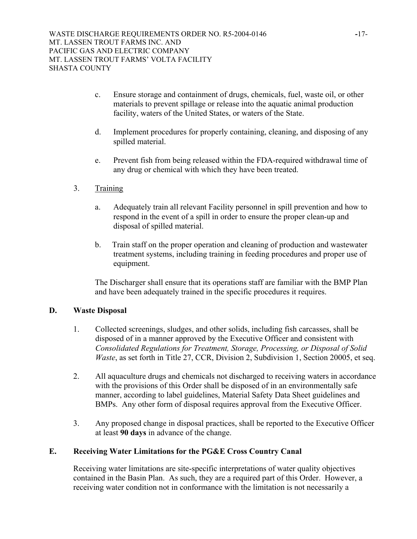- c. Ensure storage and containment of drugs, chemicals, fuel, waste oil, or other materials to prevent spillage or release into the aquatic animal production facility, waters of the United States, or waters of the State.
- d. Implement procedures for properly containing, cleaning, and disposing of any spilled material.
- e. Prevent fish from being released within the FDA-required withdrawal time of any drug or chemical with which they have been treated.
- 3. Training
	- a. Adequately train all relevant Facility personnel in spill prevention and how to respond in the event of a spill in order to ensure the proper clean-up and disposal of spilled material.
	- b. Train staff on the proper operation and cleaning of production and wastewater treatment systems, including training in feeding procedures and proper use of equipment.

The Discharger shall ensure that its operations staff are familiar with the BMP Plan and have been adequately trained in the specific procedures it requires.

# **D. Waste Disposal**

- 1. Collected screenings, sludges, and other solids, including fish carcasses, shall be disposed of in a manner approved by the Executive Officer and consistent with *Consolidated Regulations for Treatment, Storage, Processing, or Disposal of Solid Waste*, as set forth in Title 27, CCR, Division 2, Subdivision 1, Section 20005, et seq.
- 2. All aquaculture drugs and chemicals not discharged to receiving waters in accordance with the provisions of this Order shall be disposed of in an environmentally safe manner, according to label guidelines, Material Safety Data Sheet guidelines and BMPs. Any other form of disposal requires approval from the Executive Officer.
- 3. Any proposed change in disposal practices, shall be reported to the Executive Officer at least **90 days** in advance of the change.

# **E. Receiving Water Limitations for the PG&E Cross Country Canal**

Receiving water limitations are site-specific interpretations of water quality objectives contained in the Basin Plan. As such, they are a required part of this Order. However, a receiving water condition not in conformance with the limitation is not necessarily a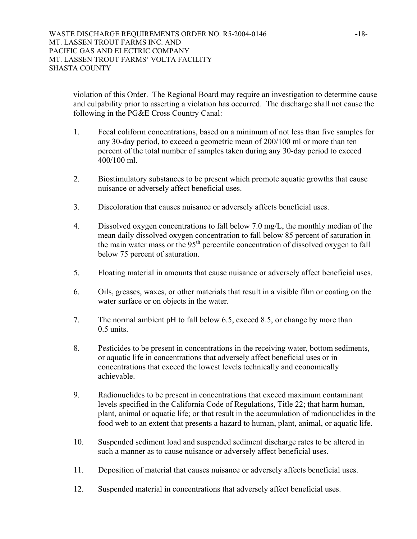violation of this Order. The Regional Board may require an investigation to determine cause and culpability prior to asserting a violation has occurred. The discharge shall not cause the following in the PG&E Cross Country Canal:

- 1. Fecal coliform concentrations, based on a minimum of not less than five samples for any 30-day period, to exceed a geometric mean of 200/100 ml or more than ten percent of the total number of samples taken during any 30-day period to exceed 400/100 ml.
- 2. Biostimulatory substances to be present which promote aquatic growths that cause nuisance or adversely affect beneficial uses.
- 3. Discoloration that causes nuisance or adversely affects beneficial uses.
- 4. Dissolved oxygen concentrations to fall below 7.0 mg/L, the monthly median of the mean daily dissolved oxygen concentration to fall below 85 percent of saturation in the main water mass or the  $95<sup>th</sup>$  percentile concentration of dissolved oxygen to fall below 75 percent of saturation.
- 5. Floating material in amounts that cause nuisance or adversely affect beneficial uses.
- 6. Oils, greases, waxes, or other materials that result in a visible film or coating on the water surface or on objects in the water.
- 7. The normal ambient pH to fall below 6.5, exceed 8.5, or change by more than  $0.5$  units.
- 8. Pesticides to be present in concentrations in the receiving water, bottom sediments, or aquatic life in concentrations that adversely affect beneficial uses or in concentrations that exceed the lowest levels technically and economically achievable.
- 9. Radionuclides to be present in concentrations that exceed maximum contaminant levels specified in the California Code of Regulations, Title 22; that harm human, plant, animal or aquatic life; or that result in the accumulation of radionuclides in the food web to an extent that presents a hazard to human, plant, animal, or aquatic life.
- 10. Suspended sediment load and suspended sediment discharge rates to be altered in such a manner as to cause nuisance or adversely affect beneficial uses.
- 11. Deposition of material that causes nuisance or adversely affects beneficial uses.
- 12. Suspended material in concentrations that adversely affect beneficial uses.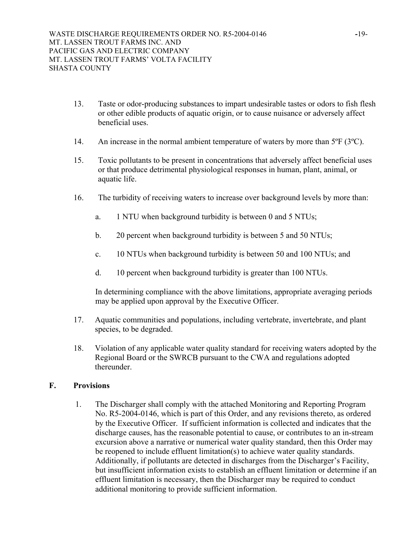- 13. Taste or odor-producing substances to impart undesirable tastes or odors to fish flesh or other edible products of aquatic origin, or to cause nuisance or adversely affect beneficial uses.
- 14. An increase in the normal ambient temperature of waters by more than 5<sup>o</sup>F (3<sup>o</sup>C).
- 15. Toxic pollutants to be present in concentrations that adversely affect beneficial uses or that produce detrimental physiological responses in human, plant, animal, or aquatic life.
- 16. The turbidity of receiving waters to increase over background levels by more than:
	- a. 1 NTU when background turbidity is between 0 and 5 NTUs;
	- b. 20 percent when background turbidity is between 5 and 50 NTUs;
	- c. 10 NTUs when background turbidity is between 50 and 100 NTUs; and
	- d. 10 percent when background turbidity is greater than 100 NTUs.

In determining compliance with the above limitations, appropriate averaging periods may be applied upon approval by the Executive Officer.

- 17. Aquatic communities and populations, including vertebrate, invertebrate, and plant species, to be degraded.
- 18. Violation of any applicable water quality standard for receiving waters adopted by the Regional Board or the SWRCB pursuant to the CWA and regulations adopted thereunder.

## **F. Provisions**

 1. The Discharger shall comply with the attached Monitoring and Reporting Program No. R5-2004-0146, which is part of this Order, and any revisions thereto, as ordered by the Executive Officer. If sufficient information is collected and indicates that the discharge causes, has the reasonable potential to cause, or contributes to an in-stream excursion above a narrative or numerical water quality standard, then this Order may be reopened to include effluent limitation(s) to achieve water quality standards. Additionally, if pollutants are detected in discharges from the Discharger's Facility, but insufficient information exists to establish an effluent limitation or determine if an effluent limitation is necessary, then the Discharger may be required to conduct additional monitoring to provide sufficient information.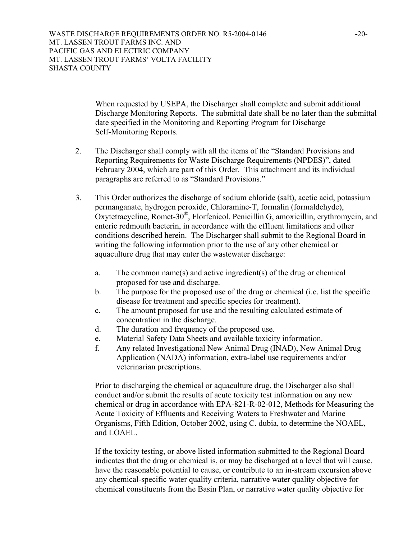WASTE DISCHARGE REQUIREMENTS ORDER NO. R5-2004-0146 **-**20- MT. LASSEN TROUT FARMS INC. AND PACIFIC GAS AND ELECTRIC COMPANY MT. LASSEN TROUT FARMS' VOLTA FACILITY SHASTA COUNTY

> When requested by USEPA, the Discharger shall complete and submit additional Discharge Monitoring Reports. The submittal date shall be no later than the submittal date specified in the Monitoring and Reporting Program for Discharge Self-Monitoring Reports.

- 2. The Discharger shall comply with all the items of the "Standard Provisions and Reporting Requirements for Waste Discharge Requirements (NPDES)", dated February 2004, which are part of this Order. This attachment and its individual paragraphs are referred to as "Standard Provisions."
- 3. This Order authorizes the discharge of sodium chloride (salt), acetic acid, potassium permanganate, hydrogen peroxide, Chloramine-T, formalin (formaldehyde), Oxytetracycline, Romet-30®, Florfenicol, Penicillin G, amoxicillin, erythromycin, and enteric redmouth bacterin, in accordance with the effluent limitations and other conditions described herein. The Discharger shall submit to the Regional Board in writing the following information prior to the use of any other chemical or aquaculture drug that may enter the wastewater discharge:
	- a. The common name(s) and active ingredient(s) of the drug or chemical proposed for use and discharge.
	- b. The purpose for the proposed use of the drug or chemical (i.e. list the specific disease for treatment and specific species for treatment).
	- c. The amount proposed for use and the resulting calculated estimate of concentration in the discharge.
	- d. The duration and frequency of the proposed use.
	- e. Material Safety Data Sheets and available toxicity information.
	- f. Any related Investigational New Animal Drug (INAD), New Animal Drug Application (NADA) information, extra-label use requirements and/or veterinarian prescriptions.

Prior to discharging the chemical or aquaculture drug, the Discharger also shall conduct and/or submit the results of acute toxicity test information on any new chemical or drug in accordance with EPA-821-R-02-012, Methods for Measuring the Acute Toxicity of Effluents and Receiving Waters to Freshwater and Marine Organisms, Fifth Edition, October 2002, using C. dubia, to determine the NOAEL, and LOAEL.

If the toxicity testing, or above listed information submitted to the Regional Board indicates that the drug or chemical is, or may be discharged at a level that will cause, have the reasonable potential to cause, or contribute to an in-stream excursion above any chemical-specific water quality criteria, narrative water quality objective for chemical constituents from the Basin Plan, or narrative water quality objective for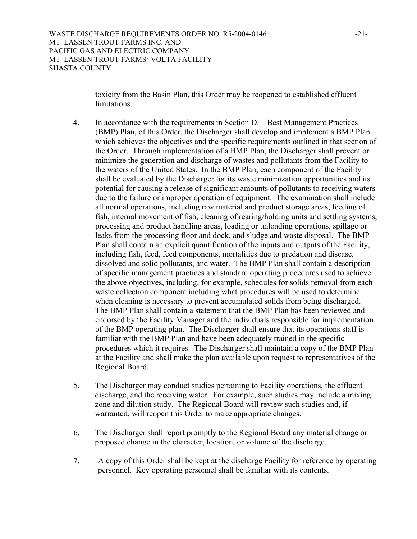toxicity from the Basin Plan, this Order may be reopened to established effluent limitations.

- 4. In accordance with the requirements in Section D. Best Management Practices (BMP) Plan, of this Order, the Discharger shall develop and implement a BMP Plan which achieves the objectives and the specific requirements outlined in that section of the Order. Through implementation of a BMP Plan, the Discharger shall prevent or minimize the generation and discharge of wastes and pollutants from the Facility to the waters of the United States. In the BMP Plan, each component of the Facility shall be evaluated by the Discharger for its waste minimization opportunities and its potential for causing a release of significant amounts of pollutants to receiving waters due to the failure or improper operation of equipment. The examination shall include all normal operations, including raw material and product storage areas, feeding of fish, internal movement of fish, cleaning of rearing/holding units and settling systems, processing and product handling areas, loading or unloading operations, spillage or leaks from the processing floor and dock, and sludge and waste disposal. The BMP Plan shall contain an explicit quantification of the inputs and outputs of the Facility, including fish, feed, feed components, mortalities due to predation and disease, dissolved and solid pollutants, and water. The BMP Plan shall contain a description of specific management practices and standard operating procedures used to achieve the above objectives, including, for example, schedules for solids removal from each waste collection component including what procedures will be used to determine when cleaning is necessary to prevent accumulated solids from being discharged. The BMP Plan shall contain a statement that the BMP Plan has been reviewed and endorsed by the Facility Manager and the individuals responsible for implementation of the BMP operating plan. The Discharger shall ensure that its operations staff is familiar with the BMP Plan and have been adequately trained in the specific procedures which it requires. The Discharger shall maintain a copy of the BMP Plan at the Facility and shall make the plan available upon request to representatives of the Regional Board.
- 5. The Discharger may conduct studies pertaining to Facility operations, the effluent discharge, and the receiving water. For example, such studies may include a mixing zone and dilution study. The Regional Board will review such studies and, if warranted, will reopen this Order to make appropriate changes.
- 6. The Discharger shall report promptly to the Regional Board any material change or proposed change in the character, location, or volume of the discharge.
- 7. A copy of this Order shall be kept at the discharge Facility for reference by operating personnel. Key operating personnel shall be familiar with its contents.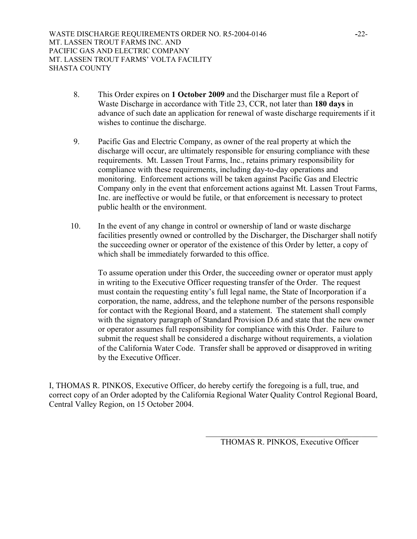- 8. This Order expires on **1 October 2009** and the Discharger must file a Report of Waste Discharge in accordance with Title 23, CCR, not later than **180 days** in advance of such date an application for renewal of waste discharge requirements if it wishes to continue the discharge.
- 9. Pacific Gas and Electric Company, as owner of the real property at which the discharge will occur, are ultimately responsible for ensuring compliance with these requirements. Mt. Lassen Trout Farms, Inc., retains primary responsibility for compliance with these requirements, including day-to-day operations and monitoring. Enforcement actions will be taken against Pacific Gas and Electric Company only in the event that enforcement actions against Mt. Lassen Trout Farms, Inc. are ineffective or would be futile, or that enforcement is necessary to protect public health or the environment.
- 10. In the event of any change in control or ownership of land or waste discharge facilities presently owned or controlled by the Discharger, the Discharger shall notify the succeeding owner or operator of the existence of this Order by letter, a copy of which shall be immediately forwarded to this office.

To assume operation under this Order, the succeeding owner or operator must apply in writing to the Executive Officer requesting transfer of the Order. The request must contain the requesting entity's full legal name, the State of Incorporation if a corporation, the name, address, and the telephone number of the persons responsible for contact with the Regional Board, and a statement. The statement shall comply with the signatory paragraph of Standard Provision D.6 and state that the new owner or operator assumes full responsibility for compliance with this Order. Failure to submit the request shall be considered a discharge without requirements, a violation of the California Water Code. Transfer shall be approved or disapproved in writing by the Executive Officer.

I, THOMAS R. PINKOS, Executive Officer, do hereby certify the foregoing is a full, true, and correct copy of an Order adopted by the California Regional Water Quality Control Regional Board, Central Valley Region, on 15 October 2004.

> \_\_\_\_\_\_\_\_\_\_\_\_\_\_\_\_\_\_\_\_\_\_\_\_\_\_\_\_\_\_\_\_\_\_\_\_\_\_\_\_\_\_ THOMAS R. PINKOS, Executive Officer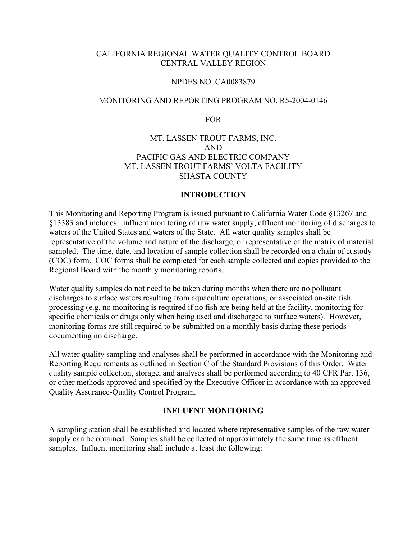# CALIFORNIA REGIONAL WATER QUALITY CONTROL BOARD CENTRAL VALLEY REGION

#### NPDES NO. CA0083879

#### MONITORING AND REPORTING PROGRAM NO. R5-2004-0146

FOR

# MT. LASSEN TROUT FARMS, INC. AND PACIFIC GAS AND ELECTRIC COMPANY MT. LASSEN TROUT FARMS' VOLTA FACILITY SHASTA COUNTY

#### **INTRODUCTION**

This Monitoring and Reporting Program is issued pursuant to California Water Code §13267 and §13383 and includes: influent monitoring of raw water supply, effluent monitoring of discharges to waters of the United States and waters of the State. All water quality samples shall be representative of the volume and nature of the discharge, or representative of the matrix of material sampled. The time, date, and location of sample collection shall be recorded on a chain of custody (COC) form. COC forms shall be completed for each sample collected and copies provided to the Regional Board with the monthly monitoring reports.

Water quality samples do not need to be taken during months when there are no pollutant discharges to surface waters resulting from aquaculture operations, or associated on-site fish processing (e.g. no monitoring is required if no fish are being held at the facility, monitoring for specific chemicals or drugs only when being used and discharged to surface waters). However, monitoring forms are still required to be submitted on a monthly basis during these periods documenting no discharge.

All water quality sampling and analyses shall be performed in accordance with the Monitoring and Reporting Requirements as outlined in Section C of the Standard Provisions of this Order. Water quality sample collection, storage, and analyses shall be performed according to 40 CFR Part 136, or other methods approved and specified by the Executive Officer in accordance with an approved Quality Assurance-Quality Control Program.

# **INFLUENT MONITORING**

A sampling station shall be established and located where representative samples of the raw water supply can be obtained. Samples shall be collected at approximately the same time as effluent samples. Influent monitoring shall include at least the following: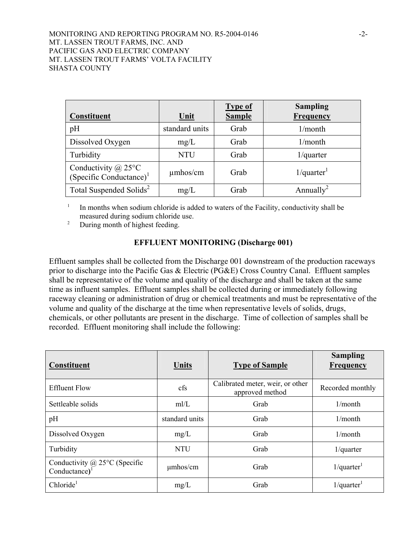| Constituent                                              | Unit           | <b>Type of</b><br><b>Sample</b> | <b>Sampling</b><br><b>Frequency</b> |
|----------------------------------------------------------|----------------|---------------------------------|-------------------------------------|
| pH                                                       | standard units | Grab                            | 1/month                             |
| Dissolved Oxygen                                         | mg/L           | Grab                            | 1/month                             |
| Turbidity                                                | <b>NTU</b>     | Grab                            | $1$ /quarter                        |
| Conductivity $\omega$ 25°C<br>$(Specific Conductance)^1$ | $\mu$ mhos/cm  | Grab                            | $1$ /quarter <sup>1</sup>           |
| Total Suspended Solids <sup>2</sup>                      | mg/L           | Grab                            | Annually <sup>2</sup>               |

 $1$  In months when sodium chloride is added to waters of the Facility, conductivity shall be measured during sodium chloride use.

<sup>2</sup> During month of highest feeding.

# **EFFLUENT MONITORING (Discharge 001)**

Effluent samples shall be collected from the Discharge 001 downstream of the production raceways prior to discharge into the Pacific Gas & Electric (PG&E) Cross Country Canal. Effluent samples shall be representative of the volume and quality of the discharge and shall be taken at the same time as influent samples. Effluent samples shall be collected during or immediately following raceway cleaning or administration of drug or chemical treatments and must be representative of the volume and quality of the discharge at the time when representative levels of solids, drugs, chemicals, or other pollutants are present in the discharge. Time of collection of samples shall be recorded. Effluent monitoring shall include the following:

| Constituent                                                   | Units          | <b>Type of Sample</b>                               | <b>Sampling</b><br>Frequency |
|---------------------------------------------------------------|----------------|-----------------------------------------------------|------------------------------|
| <b>Effluent Flow</b>                                          | cfs            | Calibrated meter, weir, or other<br>approved method | Recorded monthly             |
| Settleable solids                                             | m/L            | Grab                                                | 1/month                      |
| pH                                                            | standard units | Grab                                                | 1/month                      |
| Dissolved Oxygen                                              | mg/L           | Grab                                                | 1/month                      |
| Turbidity                                                     | <b>NTU</b>     | Grab                                                | $1$ /quarter                 |
| Conductivity $@$ 25°C (Specific<br>$Conductance$ <sup>1</sup> | $\mu$ mhos/cm  | Grab                                                | $1$ /quarter <sup>1</sup>    |
| Chloride <sup>1</sup>                                         | mg/L           | Grab                                                | $1$ /quarter <sup>1</sup>    |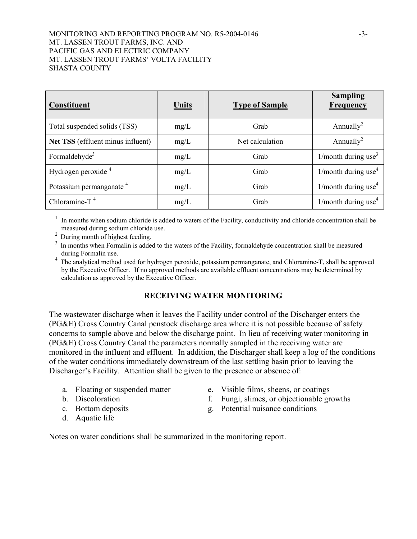## MONITORING AND REPORTING PROGRAM NO. R5-2004-0146 -3- MT. LASSEN TROUT FARMS, INC. AND PACIFIC GAS AND ELECTRIC COMPANY MT. LASSEN TROUT FARMS' VOLTA FACILITY SHASTA COUNTY

| <b>Constituent</b>                  | <b>Units</b> | <b>Type of Sample</b> | <b>Sampling</b><br><b>Frequency</b> |
|-------------------------------------|--------------|-----------------------|-------------------------------------|
| Total suspended solids (TSS)        | mg/L         | Grab                  | Annually <sup>2</sup>               |
| Net TSS (effluent minus influent)   | mg/L         | Net calculation       | Annually <sup>2</sup>               |
| Formaldehyde <sup>3</sup>           | mg/L         | Grab                  | 1/month during use <sup>3</sup>     |
| Hydrogen peroxide <sup>4</sup>      | mg/L         | Grab                  | 1/month during use <sup>4</sup>     |
| Potassium permanganate <sup>4</sup> | mg/L         | Grab                  | 1/month during use <sup>4</sup>     |
| Chloramine-T $4$                    | mg/L         | Grab                  | $1/m$ onth during use <sup>4</sup>  |

 $1$  In months when sodium chloride is added to waters of the Facility, conductivity and chloride concentration shall be measured during sodium chloride use.

<sup>2</sup> During month of highest feeding.

- <sup>3</sup> In months when Formalin is added to the waters of the Facility, formaldehyde concentration shall be measured during Formalin use.
- <sup>4</sup> The analytical method used for hydrogen peroxide, potassium permanganate, and Chloramine-T, shall be approved by the Executive Officer. If no approved methods are available effluent concentrations may be determined by calculation as approved by the Executive Officer.

# **RECEIVING WATER MONITORING**

The wastewater discharge when it leaves the Facility under control of the Discharger enters the (PG&E) Cross Country Canal penstock discharge area where it is not possible because of safety concerns to sample above and below the discharge point. In lieu of receiving water monitoring in (PG&E) Cross Country Canal the parameters normally sampled in the receiving water are monitored in the influent and effluent. In addition, the Discharger shall keep a log of the conditions of the water conditions immediately downstream of the last settling basin prior to leaving the Discharger's Facility. Attention shall be given to the presence or absence of:

- 
- 
- 
- d. Aquatic life
- a. Floating or suspended matter e. Visible films, sheens, or coatings
- b. Discoloration f. Fungi, slimes, or objectionable growths
- c. Bottom deposits g. Potential nuisance conditions

Notes on water conditions shall be summarized in the monitoring report.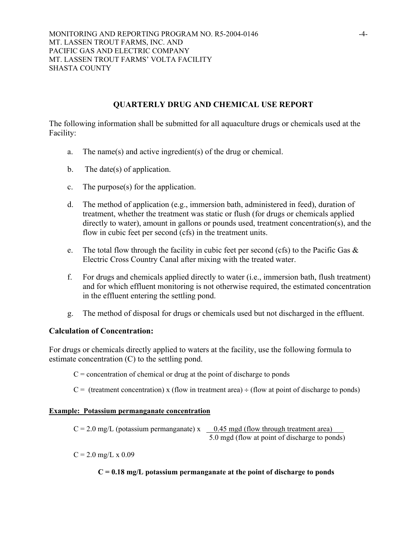# **QUARTERLY DRUG AND CHEMICAL USE REPORT**

The following information shall be submitted for all aquaculture drugs or chemicals used at the Facility:

- a. The name(s) and active ingredient(s) of the drug or chemical.
- b. The date(s) of application.
- c. The purpose(s) for the application.
- d. The method of application (e.g., immersion bath, administered in feed), duration of treatment, whether the treatment was static or flush (for drugs or chemicals applied directly to water), amount in gallons or pounds used, treatment concentration(s), and the flow in cubic feet per second (cfs) in the treatment units.
- e. The total flow through the facility in cubic feet per second (cfs) to the Pacific Gas & Electric Cross Country Canal after mixing with the treated water.
- f. For drugs and chemicals applied directly to water (i.e., immersion bath, flush treatment) and for which effluent monitoring is not otherwise required, the estimated concentration in the effluent entering the settling pond.
- g. The method of disposal for drugs or chemicals used but not discharged in the effluent.

# **Calculation of Concentration:**

For drugs or chemicals directly applied to waters at the facility, use the following formula to estimate concentration (C) to the settling pond.

 $C =$  concentration of chemical or drug at the point of discharge to ponds

 $C =$  (treatment concentration) x (flow in treatment area)  $\div$  (flow at point of discharge to ponds)

# **Example: Potassium permanganate concentration**

 $C = 2.0$  mg/L (potassium permanganate) x 0.45 mgd (flow through treatment area) 5.0 mgd (flow at point of discharge to ponds)

 $C = 2.0$  mg/L x 0.09

# **C = 0.18 mg/L potassium permanganate at the point of discharge to ponds**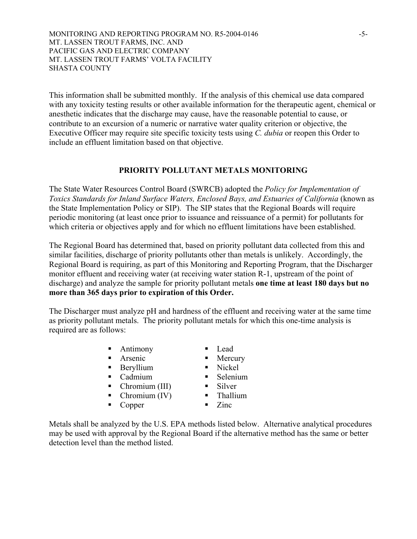MONITORING AND REPORTING PROGRAM NO. R5-2004-0146 -5- MT. LASSEN TROUT FARMS, INC. AND PACIFIC GAS AND ELECTRIC COMPANY MT. LASSEN TROUT FARMS' VOLTA FACILITY SHASTA COUNTY

This information shall be submitted monthly. If the analysis of this chemical use data compared with any toxicity testing results or other available information for the therapeutic agent, chemical or anesthetic indicates that the discharge may cause, have the reasonable potential to cause, or contribute to an excursion of a numeric or narrative water quality criterion or objective, the Executive Officer may require site specific toxicity tests using *C. dubia* or reopen this Order to include an effluent limitation based on that objective.

# **PRIORITY POLLUTANT METALS MONITORING**

The State Water Resources Control Board (SWRCB) adopted the *Policy for Implementation of Toxics Standards for Inland Surface Waters, Enclosed Bays, and Estuaries of California* (known as the State Implementation Policy or SIP). The SIP states that the Regional Boards will require periodic monitoring (at least once prior to issuance and reissuance of a permit) for pollutants for which criteria or objectives apply and for which no effluent limitations have been established.

The Regional Board has determined that, based on priority pollutant data collected from this and similar facilities, discharge of priority pollutants other than metals is unlikely. Accordingly, the Regional Board is requiring, as part of this Monitoring and Reporting Program, that the Discharger monitor effluent and receiving water (at receiving water station R-1, upstream of the point of discharge) and analyze the sample for priority pollutant metals **one time at least 180 days but no more than 365 days prior to expiration of this Order.**

The Discharger must analyze pH and hardness of the effluent and receiving water at the same time as priority pollutant metals. The priority pollutant metals for which this one-time analysis is required are as follows:

- Antimony Lead
- **Arsenic** Mercury
- Beryllium Nickel
- Cadmium Selenium
- 
- Chromium (III) Silver<br>• Chromium (IV) Thallium  $\blacksquare$  Chromium (IV)
- Copper Zinc
- 
- 
- 
- 
- -

Metals shall be analyzed by the U.S. EPA methods listed below. Alternative analytical procedures may be used with approval by the Regional Board if the alternative method has the same or better detection level than the method listed.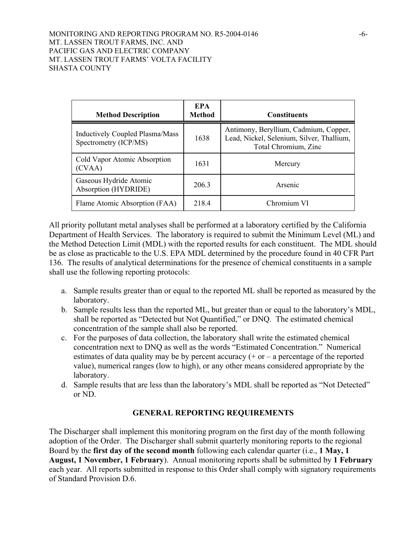| <b>Method Description</b>                                       | <b>EPA</b><br><b>Method</b> | <b>Constituents</b>                                                                                        |
|-----------------------------------------------------------------|-----------------------------|------------------------------------------------------------------------------------------------------------|
| <b>Inductively Coupled Plasma/Mass</b><br>Spectrometry (ICP/MS) | 1638                        | Antimony, Beryllium, Cadmium, Copper,<br>Lead, Nickel, Selenium, Silver, Thallium,<br>Total Chromium, Zinc |
| Cold Vapor Atomic Absorption<br>(CVAA)                          | 1631                        | Mercury                                                                                                    |
| Gaseous Hydride Atomic<br>Absorption (HYDRIDE)                  | 206.3                       | Arsenic                                                                                                    |
| Flame Atomic Absorption (FAA)                                   | 218.4                       | Chromium VI                                                                                                |

All priority pollutant metal analyses shall be performed at a laboratory certified by the California Department of Health Services. The laboratory is required to submit the Minimum Level (ML) and the Method Detection Limit (MDL) with the reported results for each constituent. The MDL should be as close as practicable to the U.S. EPA MDL determined by the procedure found in 40 CFR Part 136. The results of analytical determinations for the presence of chemical constituents in a sample shall use the following reporting protocols:

- a. Sample results greater than or equal to the reported ML shall be reported as measured by the laboratory.
- b. Sample results less than the reported ML, but greater than or equal to the laboratory's MDL, shall be reported as "Detected but Not Quantified," or DNQ. The estimated chemical concentration of the sample shall also be reported.
- c. For the purposes of data collection, the laboratory shall write the estimated chemical concentration next to DNQ as well as the words "Estimated Concentration." Numerical estimates of data quality may be by percent accuracy  $(+)$  or  $-$  a percentage of the reported value), numerical ranges (low to high), or any other means considered appropriate by the laboratory.
- d. Sample results that are less than the laboratory's MDL shall be reported as "Not Detected" or ND.

# **GENERAL REPORTING REQUIREMENTS**

The Discharger shall implement this monitoring program on the first day of the month following adoption of the Order. The Discharger shall submit quarterly monitoring reports to the regional Board by the **first day of the second month** following each calendar quarter (i.e., **1 May, 1 August, 1 November, 1 February**). Annual monitoring reports shall be submitted by **1 February** each year. All reports submitted in response to this Order shall comply with signatory requirements of Standard Provision D.6.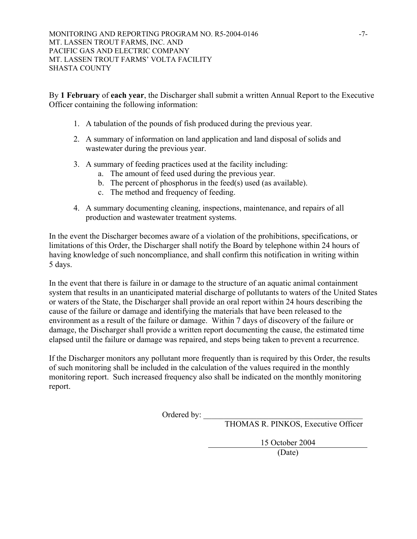By **1 February** of **each year**, the Discharger shall submit a written Annual Report to the Executive Officer containing the following information:

- 1. A tabulation of the pounds of fish produced during the previous year.
- 2. A summary of information on land application and land disposal of solids and wastewater during the previous year.
- 3. A summary of feeding practices used at the facility including:
	- a. The amount of feed used during the previous year.
	- b. The percent of phosphorus in the feed(s) used (as available).
	- c. The method and frequency of feeding.
- 4. A summary documenting cleaning, inspections, maintenance, and repairs of all production and wastewater treatment systems.

In the event the Discharger becomes aware of a violation of the prohibitions, specifications, or limitations of this Order, the Discharger shall notify the Board by telephone within 24 hours of having knowledge of such noncompliance, and shall confirm this notification in writing within 5 days.

In the event that there is failure in or damage to the structure of an aquatic animal containment system that results in an unanticipated material discharge of pollutants to waters of the United States or waters of the State, the Discharger shall provide an oral report within 24 hours describing the cause of the failure or damage and identifying the materials that have been released to the environment as a result of the failure or damage. Within 7 days of discovery of the failure or damage, the Discharger shall provide a written report documenting the cause, the estimated time elapsed until the failure or damage was repaired, and steps being taken to prevent a recurrence.

If the Discharger monitors any pollutant more frequently than is required by this Order, the results of such monitoring shall be included in the calculation of the values required in the monthly monitoring report. Such increased frequency also shall be indicated on the monthly monitoring report.

Ordered by: \_\_\_\_\_\_\_\_\_\_\_\_\_\_\_\_\_\_\_\_\_\_\_\_\_\_\_\_\_\_\_\_\_\_\_\_\_\_\_

THOMAS R. PINKOS, Executive Officer

15 October 2004

(Date)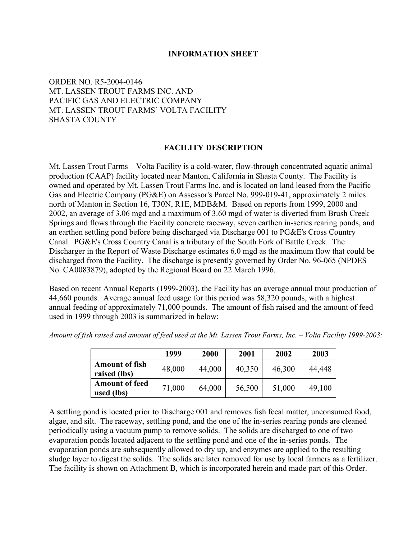## **INFORMATION SHEET**

# ORDER NO. R5-2004-0146 MT. LASSEN TROUT FARMS INC. AND PACIFIC GAS AND ELECTRIC COMPANY MT. LASSEN TROUT FARMS' VOLTA FACILITY SHASTA COUNTY

#### **FACILITY DESCRIPTION**

Mt. Lassen Trout Farms – Volta Facility is a cold-water, flow-through concentrated aquatic animal production (CAAP) facility located near Manton, California in Shasta County. The Facility is owned and operated by Mt. Lassen Trout Farms Inc. and is located on land leased from the Pacific Gas and Electric Company (PG&E) on Assessor's Parcel No. 999-019-41, approximately 2 miles north of Manton in Section 16, T30N, R1E, MDB&M. Based on reports from 1999, 2000 and 2002, an average of 3.06 mgd and a maximum of 3.60 mgd of water is diverted from Brush Creek Springs and flows through the Facility concrete raceway, seven earthen in-series rearing ponds, and an earthen settling pond before being discharged via Discharge 001 to PG&E's Cross Country Canal. PG&E's Cross Country Canal is a tributary of the South Fork of Battle Creek. The Discharger in the Report of Waste Discharge estimates 6.0 mgd as the maximum flow that could be discharged from the Facility. The discharge is presently governed by Order No. 96-065 (NPDES No. CA0083879), adopted by the Regional Board on 22 March 1996.

Based on recent Annual Reports (1999-2003), the Facility has an average annual trout production of 44,660 pounds. Average annual feed usage for this period was 58,320 pounds, with a highest annual feeding of approximately 71,000 pounds. The amount of fish raised and the amount of feed used in 1999 through 2003 is summarized in below:

|                                       | 1999   | 2000   | 2001   | 2002   | 2003   |
|---------------------------------------|--------|--------|--------|--------|--------|
| <b>Amount of fish</b><br>raised (lbs) | 48,000 | 44,000 | 40,350 | 46,300 | 44,448 |
| <b>Amount of feed</b><br>used (lbs)   | 71,000 | 64,000 | 56,500 | 51,000 | 49,100 |

*Amount of fish raised and amount of feed used at the Mt. Lassen Trout Farms, Inc. – Volta Facility 1999-2003:* 

A settling pond is located prior to Discharge 001 and removes fish fecal matter, unconsumed food, algae, and silt. The raceway, settling pond, and the one of the in-series rearing ponds are cleaned periodically using a vacuum pump to remove solids. The solids are discharged to one of two evaporation ponds located adjacent to the settling pond and one of the in-series ponds. The evaporation ponds are subsequently allowed to dry up, and enzymes are applied to the resulting sludge layer to digest the solids. The solids are later removed for use by local farmers as a fertilizer. The facility is shown on Attachment B, which is incorporated herein and made part of this Order.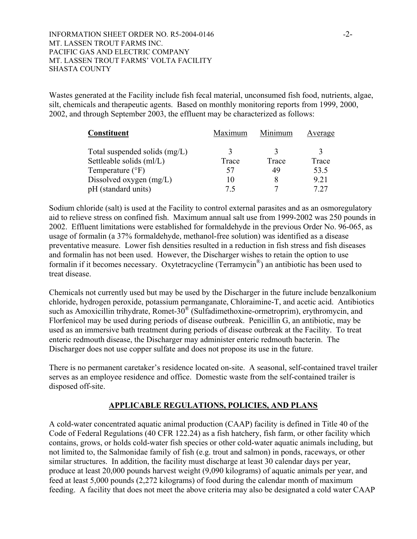Wastes generated at the Facility include fish fecal material, unconsumed fish food, nutrients, algae, silt, chemicals and therapeutic agents. Based on monthly monitoring reports from 1999, 2000, 2002, and through September 2003, the effluent may be characterized as follows:

| <b>Constituent</b>              | Maximum | Minimum | Average |
|---------------------------------|---------|---------|---------|
| Total suspended solids $(mg/L)$ |         |         |         |
| Settleable solids (ml/L)        | Trace   | Trace   | Trace   |
| Temperature $(^{\circ}F)$       | 57      | 49      | 53.5    |
| Dissolved oxygen (mg/L)         | 10      |         | 9.21    |
| pH (standard units)             | 75      |         |         |

Sodium chloride (salt) is used at the Facility to control external parasites and as an osmoregulatory aid to relieve stress on confined fish. Maximum annual salt use from 1999-2002 was 250 pounds in 2002. Effluent limitations were established for formaldehyde in the previous Order No. 96-065, as usage of formalin (a 37% formaldehyde, methanol-free solution) was identified as a disease preventative measure. Lower fish densities resulted in a reduction in fish stress and fish diseases and formalin has not been used. However, the Discharger wishes to retain the option to use formalin if it becomes necessary. Oxytetracycline (Terramycin®) an antibiotic has been used to treat disease.

Chemicals not currently used but may be used by the Discharger in the future include benzalkonium chloride, hydrogen peroxide, potassium permanganate, Chloraimine-T, and acetic acid. Antibiotics such as Amoxicillin trihydrate, Romet-30® (Sulfadimethoxine-ormetroprim), erythromycin, and Florfenicol may be used during periods of disease outbreak. Penicillin G, an antibiotic, may be used as an immersive bath treatment during periods of disease outbreak at the Facility. To treat enteric redmouth disease, the Discharger may administer enteric redmouth bacterin. The Discharger does not use copper sulfate and does not propose its use in the future.

There is no permanent caretaker's residence located on-site. A seasonal, self-contained travel trailer serves as an employee residence and office. Domestic waste from the self-contained trailer is disposed off-site.

# **APPLICABLE REGULATIONS, POLICIES, AND PLANS**

A cold-water concentrated aquatic animal production (CAAP) facility is defined in Title 40 of the Code of Federal Regulations (40 CFR 122.24) as a fish hatchery, fish farm, or other facility which contains, grows, or holds cold-water fish species or other cold-water aquatic animals including, but not limited to, the Salmonidae family of fish (e.g. trout and salmon) in ponds, raceways, or other similar structures. In addition, the facility must discharge at least 30 calendar days per year, produce at least 20,000 pounds harvest weight (9,090 kilograms) of aquatic animals per year, and feed at least 5,000 pounds (2,272 kilograms) of food during the calendar month of maximum feeding. A facility that does not meet the above criteria may also be designated a cold water CAAP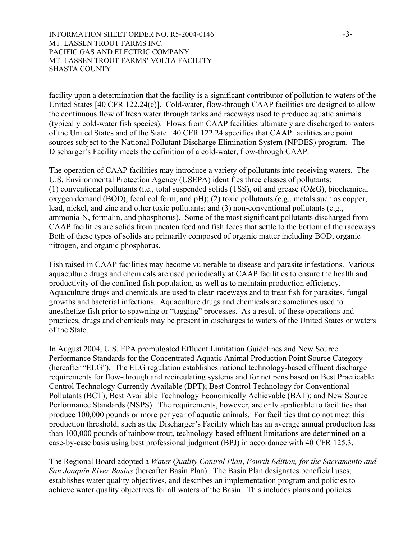INFORMATION SHEET ORDER NO. R5-2004-0146  $-3$ -MT. LASSEN TROUT FARMS INC. PACIFIC GAS AND ELECTRIC COMPANY MT. LASSEN TROUT FARMS' VOLTA FACILITY SHASTA COUNTY

facility upon a determination that the facility is a significant contributor of pollution to waters of the United States [40 CFR 122.24(c)]. Cold-water, flow-through CAAP facilities are designed to allow the continuous flow of fresh water through tanks and raceways used to produce aquatic animals (typically cold-water fish species). Flows from CAAP facilities ultimately are discharged to waters of the United States and of the State. 40 CFR 122.24 specifies that CAAP facilities are point sources subject to the National Pollutant Discharge Elimination System (NPDES) program. The Discharger's Facility meets the definition of a cold-water, flow-through CAAP.

The operation of CAAP facilities may introduce a variety of pollutants into receiving waters. The U.S. Environmental Protection Agency (USEPA) identifies three classes of pollutants: (1) conventional pollutants (i.e., total suspended solids (TSS), oil and grease (O&G), biochemical oxygen demand (BOD), fecal coliform, and pH); (2) toxic pollutants (e.g., metals such as copper, lead, nickel, and zinc and other toxic pollutants; and (3) non-conventional pollutants (e.g., ammonia-N, formalin, and phosphorus). Some of the most significant pollutants discharged from CAAP facilities are solids from uneaten feed and fish feces that settle to the bottom of the raceways. Both of these types of solids are primarily composed of organic matter including BOD, organic nitrogen, and organic phosphorus.

Fish raised in CAAP facilities may become vulnerable to disease and parasite infestations. Various aquaculture drugs and chemicals are used periodically at CAAP facilities to ensure the health and productivity of the confined fish population, as well as to maintain production efficiency. Aquaculture drugs and chemicals are used to clean raceways and to treat fish for parasites, fungal growths and bacterial infections. Aquaculture drugs and chemicals are sometimes used to anesthetize fish prior to spawning or "tagging" processes. As a result of these operations and practices, drugs and chemicals may be present in discharges to waters of the United States or waters of the State.

In August 2004, U.S. EPA promulgated Effluent Limitation Guidelines and New Source Performance Standards for the Concentrated Aquatic Animal Production Point Source Category (hereafter "ELG"). The ELG regulation establishes national technology-based effluent discharge requirements for flow-through and recirculating systems and for net pens based on Best Practicable Control Technology Currently Available (BPT); Best Control Technology for Conventional Pollutants (BCT); Best Available Technology Economically Achievable (BAT); and New Source Performance Standards (NSPS). The requirements, however, are only applicable to facilities that produce 100,000 pounds or more per year of aquatic animals. For facilities that do not meet this production threshold, such as the Discharger's Facility which has an average annual production less than 100,000 pounds of rainbow trout, technology-based effluent limitations are determined on a case-by-case basis using best professional judgment (BPJ) in accordance with 40 CFR 125.3.

The Regional Board adopted a *Water Quality Control Plan*, *Fourth Edition, for the Sacramento and San Joaquin River Basins* (hereafter Basin Plan). The Basin Plan designates beneficial uses, establishes water quality objectives, and describes an implementation program and policies to achieve water quality objectives for all waters of the Basin. This includes plans and policies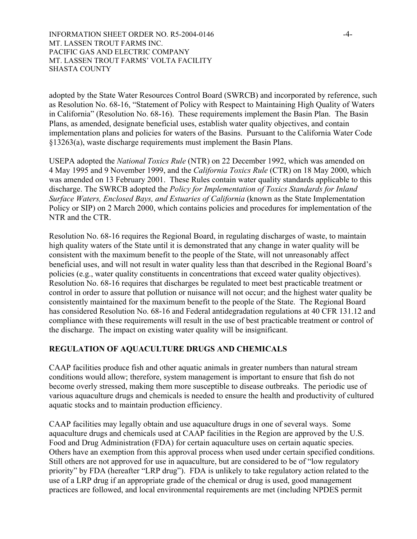INFORMATION SHEET ORDER NO. R5-2004-0146  $-4$ -MT. LASSEN TROUT FARMS INC. PACIFIC GAS AND ELECTRIC COMPANY MT. LASSEN TROUT FARMS' VOLTA FACILITY SHASTA COUNTY

adopted by the State Water Resources Control Board (SWRCB) and incorporated by reference, such as Resolution No. 68-16, "Statement of Policy with Respect to Maintaining High Quality of Waters in California" (Resolution No. 68-16). These requirements implement the Basin Plan. The Basin Plans, as amended, designate beneficial uses, establish water quality objectives, and contain implementation plans and policies for waters of the Basins. Pursuant to the California Water Code §13263(a), waste discharge requirements must implement the Basin Plans.

USEPA adopted the *National Toxics Rule* (NTR) on 22 December 1992, which was amended on 4 May 1995 and 9 November 1999, and the *California Toxics Rule* (CTR) on 18 May 2000, which was amended on 13 February 2001. These Rules contain water quality standards applicable to this discharge. The SWRCB adopted the *Policy for Implementation of Toxics Standards for Inland Surface Waters, Enclosed Bays, and Estuaries of California* (known as the State Implementation Policy or SIP) on 2 March 2000, which contains policies and procedures for implementation of the NTR and the CTR.

Resolution No. 68-16 requires the Regional Board, in regulating discharges of waste, to maintain high quality waters of the State until it is demonstrated that any change in water quality will be consistent with the maximum benefit to the people of the State, will not unreasonably affect beneficial uses, and will not result in water quality less than that described in the Regional Board's policies (e.g., water quality constituents in concentrations that exceed water quality objectives). Resolution No. 68-16 requires that discharges be regulated to meet best practicable treatment or control in order to assure that pollution or nuisance will not occur; and the highest water quality be consistently maintained for the maximum benefit to the people of the State. The Regional Board has considered Resolution No. 68-16 and Federal antidegradation regulations at 40 CFR 131.12 and compliance with these requirements will result in the use of best practicable treatment or control of the discharge. The impact on existing water quality will be insignificant.

# **REGULATION OF AQUACULTURE DRUGS AND CHEMICALS**

CAAP facilities produce fish and other aquatic animals in greater numbers than natural stream conditions would allow; therefore, system management is important to ensure that fish do not become overly stressed, making them more susceptible to disease outbreaks. The periodic use of various aquaculture drugs and chemicals is needed to ensure the health and productivity of cultured aquatic stocks and to maintain production efficiency.

CAAP facilities may legally obtain and use aquaculture drugs in one of several ways. Some aquaculture drugs and chemicals used at CAAP facilities in the Region are approved by the U.S. Food and Drug Administration (FDA) for certain aquaculture uses on certain aquatic species. Others have an exemption from this approval process when used under certain specified conditions. Still others are not approved for use in aquaculture, but are considered to be of "low regulatory priority" by FDA (hereafter "LRP drug"). FDA is unlikely to take regulatory action related to the use of a LRP drug if an appropriate grade of the chemical or drug is used, good management practices are followed, and local environmental requirements are met (including NPDES permit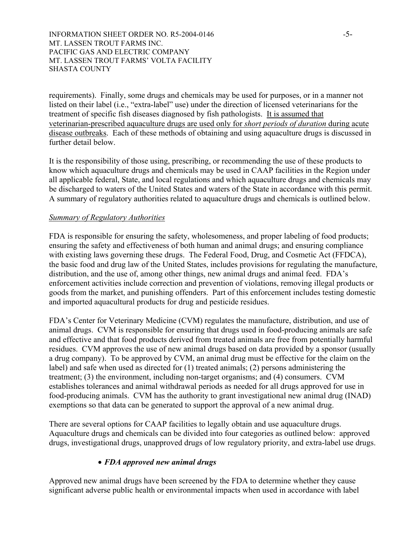INFORMATION SHEET ORDER NO. R5-2004-0146 -5-MT. LASSEN TROUT FARMS INC. PACIFIC GAS AND ELECTRIC COMPANY MT. LASSEN TROUT FARMS' VOLTA FACILITY SHASTA COUNTY

requirements). Finally, some drugs and chemicals may be used for purposes, or in a manner not listed on their label (i.e., "extra-label" use) under the direction of licensed veterinarians for the treatment of specific fish diseases diagnosed by fish pathologists. It is assumed that veterinarian-prescribed aquaculture drugs are used only for *short periods of duration* during acute disease outbreaks. Each of these methods of obtaining and using aquaculture drugs is discussed in further detail below.

It is the responsibility of those using, prescribing, or recommending the use of these products to know which aquaculture drugs and chemicals may be used in CAAP facilities in the Region under all applicable federal, State, and local regulations and which aquaculture drugs and chemicals may be discharged to waters of the United States and waters of the State in accordance with this permit. A summary of regulatory authorities related to aquaculture drugs and chemicals is outlined below.

#### *Summary of Regulatory Authorities*

FDA is responsible for ensuring the safety, wholesomeness, and proper labeling of food products; ensuring the safety and effectiveness of both human and animal drugs; and ensuring compliance with existing laws governing these drugs. The Federal Food, Drug, and Cosmetic Act (FFDCA), the basic food and drug law of the United States, includes provisions for regulating the manufacture, distribution, and the use of, among other things, new animal drugs and animal feed. FDA's enforcement activities include correction and prevention of violations, removing illegal products or goods from the market, and punishing offenders. Part of this enforcement includes testing domestic and imported aquacultural products for drug and pesticide residues.

FDA's Center for Veterinary Medicine (CVM) regulates the manufacture, distribution, and use of animal drugs. CVM is responsible for ensuring that drugs used in food-producing animals are safe and effective and that food products derived from treated animals are free from potentially harmful residues. CVM approves the use of new animal drugs based on data provided by a sponsor (usually a drug company). To be approved by CVM, an animal drug must be effective for the claim on the label) and safe when used as directed for (1) treated animals; (2) persons administering the treatment; (3) the environment, including non-target organisms; and (4) consumers. CVM establishes tolerances and animal withdrawal periods as needed for all drugs approved for use in food-producing animals. CVM has the authority to grant investigational new animal drug (INAD) exemptions so that data can be generated to support the approval of a new animal drug.

There are several options for CAAP facilities to legally obtain and use aquaculture drugs. Aquaculture drugs and chemicals can be divided into four categories as outlined below: approved drugs, investigational drugs, unapproved drugs of low regulatory priority, and extra-label use drugs.

# • *FDA approved new animal drugs*

Approved new animal drugs have been screened by the FDA to determine whether they cause significant adverse public health or environmental impacts when used in accordance with label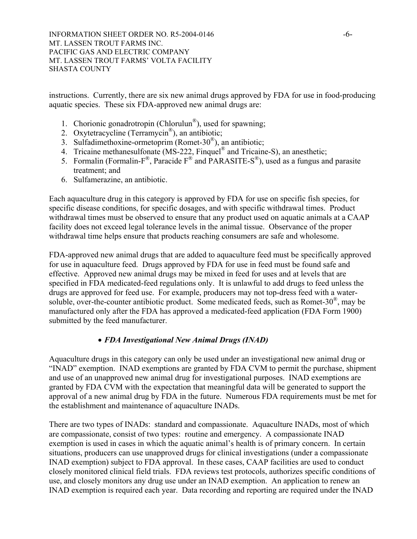INFORMATION SHEET ORDER NO. R5-2004-0146  $-6$ -MT. LASSEN TROUT FARMS INC. PACIFIC GAS AND ELECTRIC COMPANY MT. LASSEN TROUT FARMS' VOLTA FACILITY SHASTA COUNTY

instructions. Currently, there are six new animal drugs approved by FDA for use in food-producing aquatic species. These six FDA-approved new animal drugs are:

- 1. Chorionic gonadrotropin (Chlorulun®), used for spawning;
- 2. Oxytetracycline (Terramycin®), an antibiotic;
- 3. Sulfadimethoxine-ormetoprim (Romet-30®), an antibiotic;
- 4. Tricaine methanesulfonate (MS-222, Finquel<sup>®</sup> and Tricaine-S), an anesthetic;
- 5. Formalin (Formalin-F<sup>®</sup>, Paracide  $F^{\circledast}$  and PARASITE-S<sup>®</sup>), used as a fungus and parasite treatment; and
- 6. Sulfamerazine, an antibiotic.

Each aquaculture drug in this category is approved by FDA for use on specific fish species, for specific disease conditions, for specific dosages, and with specific withdrawal times. Product withdrawal times must be observed to ensure that any product used on aquatic animals at a CAAP facility does not exceed legal tolerance levels in the animal tissue. Observance of the proper withdrawal time helps ensure that products reaching consumers are safe and wholesome.

FDA-approved new animal drugs that are added to aquaculture feed must be specifically approved for use in aquaculture feed. Drugs approved by FDA for use in feed must be found safe and effective. Approved new animal drugs may be mixed in feed for uses and at levels that are specified in FDA medicated-feed regulations only. It is unlawful to add drugs to feed unless the drugs are approved for feed use. For example, producers may not top-dress feed with a watersoluble, over-the-counter antibiotic product. Some medicated feeds, such as Romet-30®, may be manufactured only after the FDA has approved a medicated-feed application (FDA Form 1900) submitted by the feed manufacturer.

# • *FDA Investigational New Animal Drugs (INAD)*

Aquaculture drugs in this category can only be used under an investigational new animal drug or "INAD" exemption. INAD exemptions are granted by FDA CVM to permit the purchase, shipment and use of an unapproved new animal drug for investigational purposes. INAD exemptions are granted by FDA CVM with the expectation that meaningful data will be generated to support the approval of a new animal drug by FDA in the future. Numerous FDA requirements must be met for the establishment and maintenance of aquaculture INADs.

There are two types of INADs: standard and compassionate. Aquaculture INADs, most of which are compassionate, consist of two types: routine and emergency. A compassionate INAD exemption is used in cases in which the aquatic animal's health is of primary concern. In certain situations, producers can use unapproved drugs for clinical investigations (under a compassionate INAD exemption) subject to FDA approval. In these cases, CAAP facilities are used to conduct closely monitored clinical field trials. FDA reviews test protocols, authorizes specific conditions of use, and closely monitors any drug use under an INAD exemption. An application to renew an INAD exemption is required each year. Data recording and reporting are required under the INAD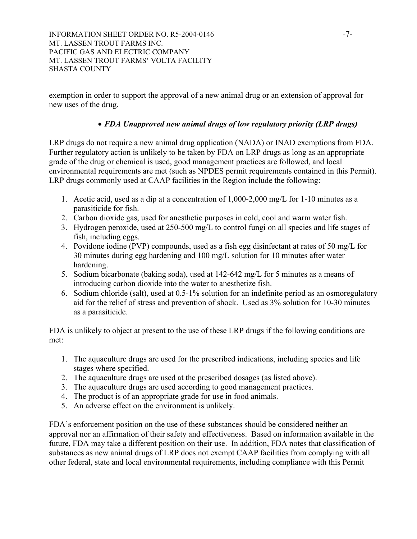INFORMATION SHEET ORDER NO. R5-2004-0146  $-7-$ MT. LASSEN TROUT FARMS INC. PACIFIC GAS AND ELECTRIC COMPANY MT. LASSEN TROUT FARMS' VOLTA FACILITY SHASTA COUNTY

exemption in order to support the approval of a new animal drug or an extension of approval for new uses of the drug.

# • *FDA Unapproved new animal drugs of low regulatory priority (LRP drugs)*

LRP drugs do not require a new animal drug application (NADA) or INAD exemptions from FDA. Further regulatory action is unlikely to be taken by FDA on LRP drugs as long as an appropriate grade of the drug or chemical is used, good management practices are followed, and local environmental requirements are met (such as NPDES permit requirements contained in this Permit). LRP drugs commonly used at CAAP facilities in the Region include the following:

- 1. Acetic acid, used as a dip at a concentration of 1,000-2,000 mg/L for 1-10 minutes as a parasiticide for fish.
- 2. Carbon dioxide gas, used for anesthetic purposes in cold, cool and warm water fish.
- 3. Hydrogen peroxide, used at 250-500 mg/L to control fungi on all species and life stages of fish, including eggs.
- 4. Povidone iodine (PVP) compounds, used as a fish egg disinfectant at rates of 50 mg/L for 30 minutes during egg hardening and 100 mg/L solution for 10 minutes after water hardening.
- 5. Sodium bicarbonate (baking soda), used at 142-642 mg/L for 5 minutes as a means of introducing carbon dioxide into the water to anesthetize fish.
- 6. Sodium chloride (salt), used at 0.5-1% solution for an indefinite period as an osmoregulatory aid for the relief of stress and prevention of shock. Used as 3% solution for 10-30 minutes as a parasiticide.

FDA is unlikely to object at present to the use of these LRP drugs if the following conditions are met:

- 1. The aquaculture drugs are used for the prescribed indications, including species and life stages where specified.
- 2. The aquaculture drugs are used at the prescribed dosages (as listed above).
- 3. The aquaculture drugs are used according to good management practices.
- 4. The product is of an appropriate grade for use in food animals.
- 5. An adverse effect on the environment is unlikely.

FDA's enforcement position on the use of these substances should be considered neither an approval nor an affirmation of their safety and effectiveness. Based on information available in the future, FDA may take a different position on their use. In addition, FDA notes that classification of substances as new animal drugs of LRP does not exempt CAAP facilities from complying with all other federal, state and local environmental requirements, including compliance with this Permit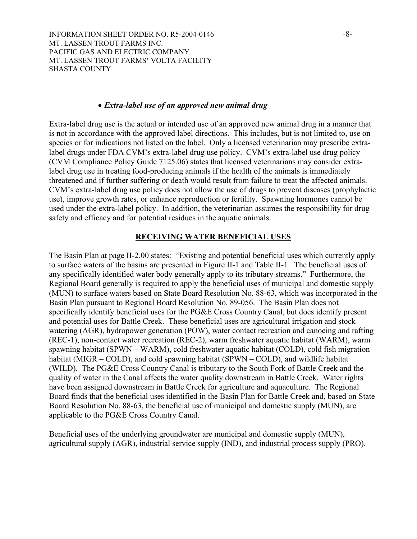INFORMATION SHEET ORDER NO. R5-2004-0146 -8-MT. LASSEN TROUT FARMS INC. PACIFIC GAS AND ELECTRIC COMPANY MT. LASSEN TROUT FARMS' VOLTA FACILITY SHASTA COUNTY

#### • *Extra-label use of an approved new animal drug*

Extra-label drug use is the actual or intended use of an approved new animal drug in a manner that is not in accordance with the approved label directions. This includes, but is not limited to, use on species or for indications not listed on the label. Only a licensed veterinarian may prescribe extralabel drugs under FDA CVM's extra-label drug use policy. CVM's extra-label use drug policy (CVM Compliance Policy Guide 7125.06) states that licensed veterinarians may consider extralabel drug use in treating food-producing animals if the health of the animals is immediately threatened and if further suffering or death would result from failure to treat the affected animals. CVM's extra-label drug use policy does not allow the use of drugs to prevent diseases (prophylactic use), improve growth rates, or enhance reproduction or fertility. Spawning hormones cannot be used under the extra-label policy. In addition, the veterinarian assumes the responsibility for drug safety and efficacy and for potential residues in the aquatic animals.

#### **RECEIVING WATER BENEFICIAL USES**

The Basin Plan at page II-2.00 states: "Existing and potential beneficial uses which currently apply to surface waters of the basins are presented in Figure II-1 and Table II-1. The beneficial uses of any specifically identified water body generally apply to its tributary streams." Furthermore, the Regional Board generally is required to apply the beneficial uses of municipal and domestic supply (MUN) to surface waters based on State Board Resolution No. 88-63, which was incorporated in the Basin Plan pursuant to Regional Board Resolution No. 89-056. The Basin Plan does not specifically identify beneficial uses for the PG&E Cross Country Canal, but does identify present and potential uses for Battle Creek. These beneficial uses are agricultural irrigation and stock watering (AGR), hydropower generation (POW), water contact recreation and canoeing and rafting (REC-1), non-contact water recreation (REC-2), warm freshwater aquatic habitat (WARM), warm spawning habitat (SPWN – WARM), cold freshwater aquatic habitat (COLD), cold fish migration habitat (MIGR – COLD), and cold spawning habitat (SPWN – COLD), and wildlife habitat (WILD). The PG&E Cross Country Canal is tributary to the South Fork of Battle Creek and the quality of water in the Canal affects the water quality downstream in Battle Creek. Water rights have been assigned downstream in Battle Creek for agriculture and aquaculture. The Regional Board finds that the beneficial uses identified in the Basin Plan for Battle Creek and, based on State Board Resolution No. 88-63, the beneficial use of municipal and domestic supply (MUN), are applicable to the PG&E Cross Country Canal.

Beneficial uses of the underlying groundwater are municipal and domestic supply (MUN), agricultural supply (AGR), industrial service supply (IND), and industrial process supply (PRO).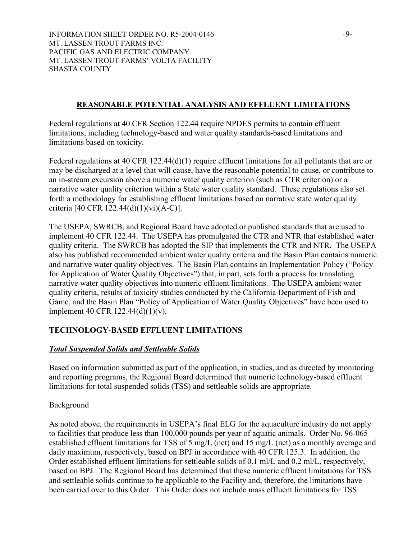INFORMATION SHEET ORDER NO. R5-2004-0146 -9-MT. LASSEN TROUT FARMS INC. PACIFIC GAS AND ELECTRIC COMPANY MT. LASSEN TROUT FARMS' VOLTA FACILITY SHASTA COUNTY

# **REASONABLE POTENTIAL ANALYSIS AND EFFLUENT LIMITATIONS**

Federal regulations at 40 CFR Section 122.44 require NPDES permits to contain effluent limitations, including technology-based and water quality standards-based limitations and limitations based on toxicity.

Federal regulations at 40 CFR 122.44(d)(1) require effluent limitations for all pollutants that are or may be discharged at a level that will cause, have the reasonable potential to cause, or contribute to an in-stream excursion above a numeric water quality criterion (such as CTR criterion) or a narrative water quality criterion within a State water quality standard. These regulations also set forth a methodology for establishing effluent limitations based on narrative state water quality criteria [40 CFR 122.44(d)(1)(vi)(A-C)].

The USEPA, SWRCB, and Regional Board have adopted or published standards that are used to implement 40 CFR 122.44. The USEPA has promulgated the CTR and NTR that established water quality criteria. The SWRCB has adopted the SIP that implements the CTR and NTR. The USEPA also has published recommended ambient water quality criteria and the Basin Plan contains numeric and narrative water quality objectives. The Basin Plan contains an Implementation Policy ("Policy for Application of Water Quality Objectives") that, in part, sets forth a process for translating narrative water quality objectives into numeric effluent limitations. The USEPA ambient water quality criteria, results of toxicity studies conducted by the California Department of Fish and Game, and the Basin Plan "Policy of Application of Water Quality Objectives" have been used to implement 40 CFR 122.44(d)(1)(v).

# **TECHNOLOGY-BASED EFFLUENT LIMITATIONS**

# *Total Suspended Solids and Settleable Solids*

Based on information submitted as part of the application, in studies, and as directed by monitoring and reporting programs, the Regional Board determined that numeric technology-based effluent limitations for total suspended solids (TSS) and settleable solids are appropriate.

# Background

As noted above, the requirements in USEPA's final ELG for the aquaculture industry do not apply to facilities that produce less than 100,000 pounds per year of aquatic animals. Order No. 96-065 established effluent limitations for TSS of 5 mg/L (net) and 15 mg/L (net) as a monthly average and daily maximum, respectively, based on BPJ in accordance with 40 CFR 125.3. In addition, the Order established effluent limitations for settleable solids of 0.1 ml/L and 0.2 ml/L, respectively, based on BPJ. The Regional Board has determined that these numeric effluent limitations for TSS and settleable solids continue to be applicable to the Facility and, therefore, the limitations have been carried over to this Order. This Order does not include mass effluent limitations for TSS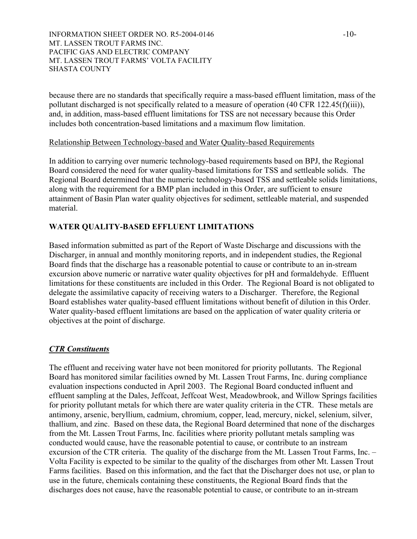## INFORMATION SHEET ORDER NO. R5-2004-0146 -10-MT. LASSEN TROUT FARMS INC. PACIFIC GAS AND ELECTRIC COMPANY MT. LASSEN TROUT FARMS' VOLTA FACILITY SHASTA COUNTY

because there are no standards that specifically require a mass-based effluent limitation, mass of the pollutant discharged is not specifically related to a measure of operation (40 CFR 122.45(f)(iii)), and, in addition, mass-based effluent limitations for TSS are not necessary because this Order includes both concentration-based limitations and a maximum flow limitation.

# Relationship Between Technology-based and Water Quality-based Requirements

In addition to carrying over numeric technology-based requirements based on BPJ, the Regional Board considered the need for water quality-based limitations for TSS and settleable solids. The Regional Board determined that the numeric technology-based TSS and settleable solids limitations, along with the requirement for a BMP plan included in this Order, are sufficient to ensure attainment of Basin Plan water quality objectives for sediment, settleable material, and suspended material.

# **WATER QUALITY-BASED EFFLUENT LIMITATIONS**

Based information submitted as part of the Report of Waste Discharge and discussions with the Discharger, in annual and monthly monitoring reports, and in independent studies, the Regional Board finds that the discharge has a reasonable potential to cause or contribute to an in-stream excursion above numeric or narrative water quality objectives for pH and formaldehyde. Effluent limitations for these constituents are included in this Order. The Regional Board is not obligated to delegate the assimilative capacity of receiving waters to a Discharger. Therefore, the Regional Board establishes water quality-based effluent limitations without benefit of dilution in this Order. Water quality-based effluent limitations are based on the application of water quality criteria or objectives at the point of discharge.

# *CTR Constituents*

The effluent and receiving water have not been monitored for priority pollutants. The Regional Board has monitored similar facilities owned by Mt. Lassen Trout Farms, Inc. during compliance evaluation inspections conducted in April 2003. The Regional Board conducted influent and effluent sampling at the Dales, Jeffcoat, Jeffcoat West, Meadowbrook, and Willow Springs facilities for priority pollutant metals for which there are water quality criteria in the CTR. These metals are antimony, arsenic, beryllium, cadmium, chromium, copper, lead, mercury, nickel, selenium, silver, thallium, and zinc. Based on these data, the Regional Board determined that none of the discharges from the Mt. Lassen Trout Farms, Inc. facilities where priority pollutant metals sampling was conducted would cause, have the reasonable potential to cause, or contribute to an instream excursion of the CTR criteria. The quality of the discharge from the Mt. Lassen Trout Farms, Inc. – Volta Facility is expected to be similar to the quality of the discharges from other Mt. Lassen Trout Farms facilities. Based on this information, and the fact that the Discharger does not use, or plan to use in the future, chemicals containing these constituents, the Regional Board finds that the discharges does not cause, have the reasonable potential to cause, or contribute to an in-stream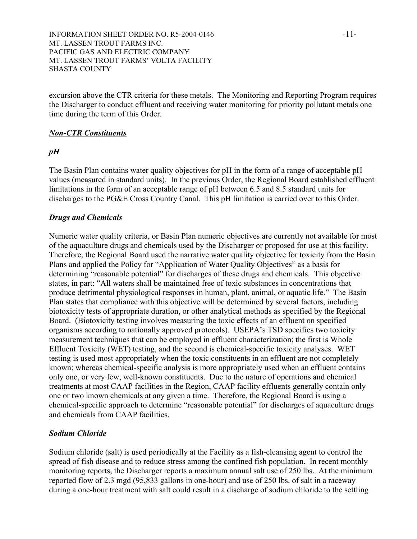excursion above the CTR criteria for these metals. The Monitoring and Reporting Program requires the Discharger to conduct effluent and receiving water monitoring for priority pollutant metals one time during the term of this Order.

# *Non-CTR Constituents*

# *pH*

The Basin Plan contains water quality objectives for pH in the form of a range of acceptable pH values (measured in standard units). In the previous Order, the Regional Board established effluent limitations in the form of an acceptable range of pH between 6.5 and 8.5 standard units for discharges to the PG&E Cross Country Canal. This pH limitation is carried over to this Order.

# *Drugs and Chemicals*

Numeric water quality criteria, or Basin Plan numeric objectives are currently not available for most of the aquaculture drugs and chemicals used by the Discharger or proposed for use at this facility. Therefore, the Regional Board used the narrative water quality objective for toxicity from the Basin Plans and applied the Policy for "Application of Water Quality Objectives" as a basis for determining "reasonable potential" for discharges of these drugs and chemicals. This objective states, in part: "All waters shall be maintained free of toxic substances in concentrations that produce detrimental physiological responses in human, plant, animal, or aquatic life." The Basin Plan states that compliance with this objective will be determined by several factors, including biotoxicity tests of appropriate duration, or other analytical methods as specified by the Regional Board. (Biotoxicity testing involves measuring the toxic effects of an effluent on specified organisms according to nationally approved protocols). USEPA's TSD specifies two toxicity measurement techniques that can be employed in effluent characterization; the first is Whole Effluent Toxicity (WET) testing, and the second is chemical-specific toxicity analyses. WET testing is used most appropriately when the toxic constituents in an effluent are not completely known; whereas chemical-specific analysis is more appropriately used when an effluent contains only one, or very few, well-known constituents. Due to the nature of operations and chemical treatments at most CAAP facilities in the Region, CAAP facility effluents generally contain only one or two known chemicals at any given a time. Therefore, the Regional Board is using a chemical-specific approach to determine "reasonable potential" for discharges of aquaculture drugs and chemicals from CAAP facilities.

# *Sodium Chloride*

Sodium chloride (salt) is used periodically at the Facility as a fish-cleansing agent to control the spread of fish disease and to reduce stress among the confined fish population. In recent monthly monitoring reports, the Discharger reports a maximum annual salt use of 250 lbs. At the minimum reported flow of 2.3 mgd (95,833 gallons in one-hour) and use of 250 lbs. of salt in a raceway during a one-hour treatment with salt could result in a discharge of sodium chloride to the settling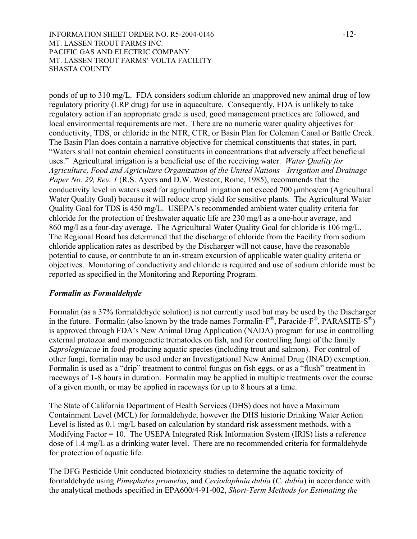INFORMATION SHEET ORDER NO. R5-2004-0146  $-12$ -MT. LASSEN TROUT FARMS INC. PACIFIC GAS AND ELECTRIC COMPANY MT. LASSEN TROUT FARMS' VOLTA FACILITY SHASTA COUNTY

ponds of up to 310 mg/L. FDA considers sodium chloride an unapproved new animal drug of low regulatory priority (LRP drug) for use in aquaculture. Consequently, FDA is unlikely to take regulatory action if an appropriate grade is used, good management practices are followed, and local environmental requirements are met. There are no numeric water quality objectives for conductivity, TDS, or chloride in the NTR, CTR, or Basin Plan for Coleman Canal or Battle Creek. The Basin Plan does contain a narrative objective for chemical constituents that states, in part, "Waters shall not contain chemical constituents in concentrations that adversely affect beneficial uses." Agricultural irrigation is a beneficial use of the receiving water. *Water Quality for Agriculture, Food and Agriculture Organization of the United Nations—Irrigation and Drainage Paper No. 29, Rev. 1* (R.S. Ayers and D.W. Westcot, Rome, 1985), recommends that the conductivity level in waters used for agricultural irrigation not exceed 700 µmhos/cm (Agricultural Water Quality Goal) because it will reduce crop yield for sensitive plants. The Agricultural Water Quality Goal for TDS is 450 mg/L. USEPA's recommended ambient water quality criteria for chloride for the protection of freshwater aquatic life are 230 mg/l as a one-hour average, and 860 mg/l as a four-day average. The Agricultural Water Quality Goal for chloride is 106 mg/L. The Regional Board has determined that the discharge of chloride from the Facility from sodium chloride application rates as described by the Discharger will not cause, have the reasonable potential to cause, or contribute to an in-stream excursion of applicable water quality criteria or objectives. Monitoring of conductivity and chloride is required and use of sodium chloride must be reported as specified in the Monitoring and Reporting Program.

# *Formalin as Formaldehyde*

Formalin (as a 37% formaldehyde solution) is not currently used but may be used by the Discharger in the future. Formalin (also known by the trade names Formalin- $F^{\circledast}$ , Paracide- $F^{\circledast}$ , PARASITE-S $^{\circledast}$ ) is approved through FDA's New Animal Drug Application (NADA) program for use in controlling external protozoa and monogenetic trematodes on fish, and for controlling fungi of the family *Saprolegniacae* in food-producing aquatic species (including trout and salmon). For control of other fungi, formalin may be used under an Investigational New Animal Drug (INAD) exemption. Formalin is used as a "drip" treatment to control fungus on fish eggs, or as a "flush" treatment in raceways of 1-8 hours in duration. Formalin may be applied in multiple treatments over the course of a given month, or may be applied in raceways for up to 8 hours at a time.

The State of California Department of Health Services (DHS) does not have a Maximum Containment Level (MCL) for formaldehyde, however the DHS historic Drinking Water Action Level is listed as 0.1 mg/L based on calculation by standard risk assessment methods, with a Modifying Factor = 10. The USEPA Integrated Risk Information System (IRIS) lists a reference dose of 1.4 mg/L as a drinking water level. There are no recommended criteria for formaldehyde for protection of aquatic life.

The DFG Pesticide Unit conducted biotoxicity studies to determine the aquatic toxicity of formaldehyde using *Pimephales promelas,* and *Ceriodaphnia dubia* (*C. dubia*) in accordance with the analytical methods specified in EPA600/4-91-002, *Short-Term Methods for Estimating the*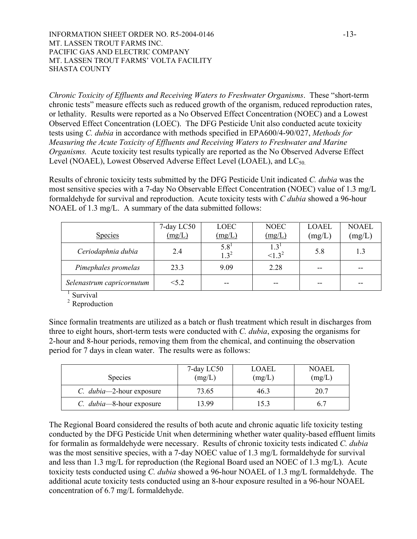INFORMATION SHEET ORDER NO. R5-2004-0146  $-13$ -MT. LASSEN TROUT FARMS INC. PACIFIC GAS AND ELECTRIC COMPANY MT. LASSEN TROUT FARMS' VOLTA FACILITY SHASTA COUNTY

*Chronic Toxicity of Effluents and Receiving Waters to Freshwater Organisms*. These "short-term chronic tests" measure effects such as reduced growth of the organism, reduced reproduction rates, or lethality. Results were reported as a No Observed Effect Concentration (NOEC) and a Lowest Observed Effect Concentration (LOEC). The DFG Pesticide Unit also conducted acute toxicity tests using *C. dubia* in accordance with methods specified in EPA600/4-90/027, *Methods for Measuring the Acute Toxicity of Effluents and Receiving Waters to Freshwater and Marine Organisms.* Acute toxicity test results typically are reported as the No Observed Adverse Effect Level (NOAEL), Lowest Observed Adverse Effect Level (LOAEL), and  $LC_{50}$ .

Results of chronic toxicity tests submitted by the DFG Pesticide Unit indicated *C. dubia* was the most sensitive species with a 7-day No Observable Effect Concentration (NOEC) value of 1.3 mg/L formaldehyde for survival and reproduction. Acute toxicity tests with *C dubia* showed a 96-hour NOAEL of 1.3 mg/L. A summary of the data submitted follows:

| <b>Species</b>            | 7-day LC50<br>(mg/L) | LOEC<br>(mg/L)          | <b>NOEC</b><br>(mg/L) | <b>LOAEL</b><br>(mg/L) | <b>NOAEL</b><br>(mg/L) |
|---------------------------|----------------------|-------------------------|-----------------------|------------------------|------------------------|
| Ceriodaphnia dubia        | 2.4                  | $5.8^{1}$<br>$1 \; 3^2$ | 1.3<br>$\leq 1.3^2$   | 5.8                    | 1.3                    |
| Pimephales promelas       | 23.3                 | 9.09                    | 2.28                  | --                     |                        |
| Selenastrum capricornutum | < 5.2                | $-$                     | --                    | --                     |                        |

 $\frac{1}{1}$ Survival

<sup>2</sup> Reproduction

Since formalin treatments are utilized as a batch or flush treatment which result in discharges from three to eight hours, short-term tests were conducted with *C. dubia*, exposing the organisms for 2-hour and 8-hour periods, removing them from the chemical, and continuing the observation period for 7 days in clean water. The results were as follows:

| <b>Species</b>                   | 7-day LC50<br>(mg/L) | LOAEL<br>(mg/L) | <b>NOAEL</b><br>(mg/L) |
|----------------------------------|----------------------|-----------------|------------------------|
| C. <i>dubia</i> —2-hour exposure | 73.65                | 46.3            | 20.7                   |
| C. <i>dubia</i> —8-hour exposure | 13.99                | 15.3            |                        |

The Regional Board considered the results of both acute and chronic aquatic life toxicity testing conducted by the DFG Pesticide Unit when determining whether water quality-based effluent limits for formalin as formaldehyde were necessary. Results of chronic toxicity tests indicated *C. dubia* was the most sensitive species, with a 7-day NOEC value of 1.3 mg/L formaldehyde for survival and less than 1.3 mg/L for reproduction (the Regional Board used an NOEC of 1.3 mg/L). Acute toxicity tests conducted using *C. dubia* showed a 96-hour NOAEL of 1.3 mg/L formaldehyde. The additional acute toxicity tests conducted using an 8-hour exposure resulted in a 96-hour NOAEL concentration of 6.7 mg/L formaldehyde.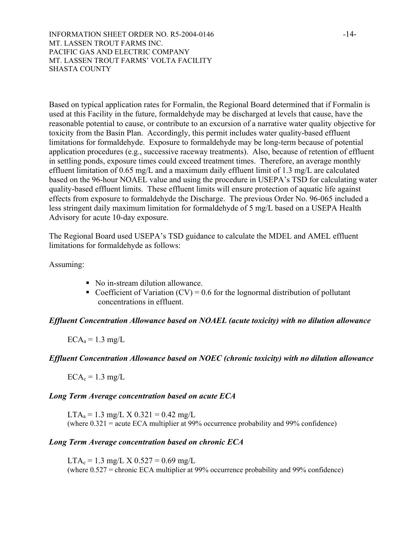INFORMATION SHEET ORDER NO. R5-2004-0146  $-14$ -MT. LASSEN TROUT FARMS INC. PACIFIC GAS AND ELECTRIC COMPANY MT. LASSEN TROUT FARMS' VOLTA FACILITY SHASTA COUNTY

Based on typical application rates for Formalin, the Regional Board determined that if Formalin is used at this Facility in the future, formaldehyde may be discharged at levels that cause, have the reasonable potential to cause, or contribute to an excursion of a narrative water quality objective for toxicity from the Basin Plan. Accordingly, this permit includes water quality-based effluent limitations for formaldehyde. Exposure to formaldehyde may be long-term because of potential application procedures (e.g., successive raceway treatments). Also, because of retention of effluent in settling ponds, exposure times could exceed treatment times. Therefore, an average monthly effluent limitation of 0.65 mg/L and a maximum daily effluent limit of 1.3 mg/L are calculated based on the 96-hour NOAEL value and using the procedure in USEPA's TSD for calculating water quality-based effluent limits. These effluent limits will ensure protection of aquatic life against effects from exposure to formaldehyde the Discharge. The previous Order No. 96-065 included a less stringent daily maximum limitation for formaldehyde of 5 mg/L based on a USEPA Health Advisory for acute 10-day exposure.

The Regional Board used USEPA's TSD guidance to calculate the MDEL and AMEL effluent limitations for formaldehyde as follows:

Assuming:

- No in-stream dilution allowance.
- Coefficient of Variation  $(CV) = 0.6$  for the lognormal distribution of pollutant concentrations in effluent.

# *Effluent Concentration Allowance based on NOAEL (acute toxicity) with no dilution allowance*

 $ECA<sub>a</sub> = 1.3$  mg/L

# *Effluent Concentration Allowance based on NOEC (chronic toxicity) with no dilution allowance*

 $ECA<sub>c</sub> = 1.3$  mg/L

# *Long Term Average concentration based on acute ECA*

 $LTA<sub>a</sub> = 1.3$  mg/L X 0.321 = 0.42 mg/L (where 0.321 = acute ECA multiplier at 99% occurrence probability and 99% confidence)

# *Long Term Average concentration based on chronic ECA*

 $LTA_c = 1.3$  mg/L X  $0.527 = 0.69$  mg/L (where 0.527 = chronic ECA multiplier at 99% occurrence probability and 99% confidence)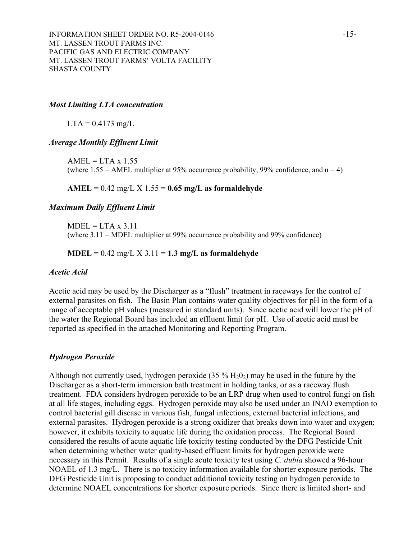## *Most Limiting LTA concentration*

 $LTA = 0.4173$  mg/L

#### *Average Monthly Effluent Limit*

 $AMEL = LTA \times 1.55$ (where  $1.55 = AMEL$  multiplier at 95% occurrence probability, 99% confidence, and  $n = 4$ )

## **AMEL** = 0.42 mg/L X 1.55 = **0.65 mg/L as formaldehyde**

#### *Maximum Daily Effluent Limit*

 $MDEL = LTA \times 3.11$ (where 3.11 = MDEL multiplier at 99% occurrence probability and 99% confidence)

#### **MDEL** = 0.42 mg/L X 3.11 = **1.3 mg/L as formaldehyde**

#### *Acetic Acid*

Acetic acid may be used by the Discharger as a "flush" treatment in raceways for the control of external parasites on fish. The Basin Plan contains water quality objectives for pH in the form of a range of acceptable pH values (measured in standard units). Since acetic acid will lower the pH of the water the Regional Board has included an effluent limit for pH. Use of acetic acid must be reported as specified in the attached Monitoring and Reporting Program.

#### *Hydrogen Peroxide*

Although not currently used, hydrogen peroxide  $(35\% H_2O_2)$  may be used in the future by the Discharger as a short-term immersion bath treatment in holding tanks, or as a raceway flush treatment. FDA considers hydrogen peroxide to be an LRP drug when used to control fungi on fish at all life stages, including eggs. Hydrogen peroxide may also be used under an INAD exemption to control bacterial gill disease in various fish, fungal infections, external bacterial infections, and external parasites. Hydrogen peroxide is a strong oxidizer that breaks down into water and oxygen; however, it exhibits toxicity to aquatic life during the oxidation process. The Regional Board considered the results of acute aquatic life toxicity testing conducted by the DFG Pesticide Unit when determining whether water quality-based effluent limits for hydrogen peroxide were necessary in this Permit. Results of a single acute toxicity test using *C. dubia* showed a 96-hour NOAEL of 1.3 mg/L. There is no toxicity information available for shorter exposure periods. The DFG Pesticide Unit is proposing to conduct additional toxicity testing on hydrogen peroxide to determine NOAEL concentrations for shorter exposure periods. Since there is limited short- and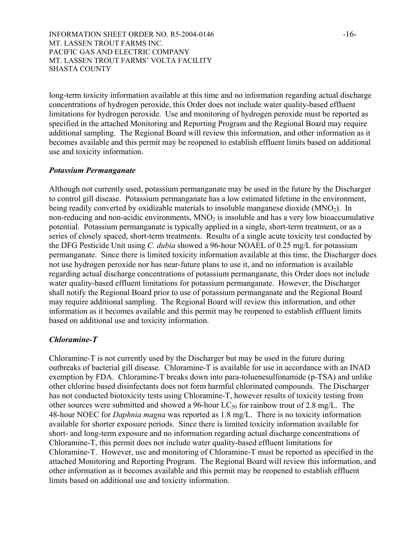INFORMATION SHEET ORDER NO. R5-2004-0146  $-16-$ MT. LASSEN TROUT FARMS INC. PACIFIC GAS AND ELECTRIC COMPANY MT. LASSEN TROUT FARMS' VOLTA FACILITY SHASTA COUNTY

long-term toxicity information available at this time and no information regarding actual discharge concentrations of hydrogen peroxide, this Order does not include water quality-based effluent limitations for hydrogen peroxide. Use and monitoring of hydrogen peroxide must be reported as specified in the attached Monitoring and Reporting Program and the Regional Board may require additional sampling. The Regional Board will review this information, and other information as it becomes available and this permit may be reopened to establish effluent limits based on additional use and toxicity information.

#### *Potassium Permanganate*

Although not currently used, potassium permanganate may be used in the future by the Discharger to control gill disease. Potassium permanganate has a low estimated lifetime in the environment, being readily converted by oxidizable materials to insoluble manganese dioxide  $(MNO<sub>2</sub>)$ . In non-reducing and non-acidic environments,  $MNO<sub>2</sub>$  is insoluble and has a very low bioaccumulative potential. Potassium permanganate is typically applied in a single, short-term treatment, or as a series of closely spaced, short-term treatments. Results of a single acute toxicity test conducted by the DFG Pesticide Unit using *C. dubia* showed a 96-hour NOAEL of 0.25 mg/L for potassium permanganate. Since there is limited toxicity information available at this time, the Discharger does not use hydrogen peroxide nor has near-future plans to use it, and no information is available regarding actual discharge concentrations of potassium permanganate, this Order does not include water quality-based effluent limitations for potassium permanganate. However, the Discharger shall notify the Regional Board prior to use of potassium permanganate and the Regional Board may require additional sampling. The Regional Board will review this information, and other information as it becomes available and this permit may be reopened to establish effluent limits based on additional use and toxicity information.

# *Chloramine-T*

Chloramine-T is not currently used by the Discharger but may be used in the future during outbreaks of bacterial gill disease. Chloramine-T is available for use in accordance with an INAD exemption by FDA. Chloramine-T breaks down into para-toluenesulfonamide (p-TSA) and unlike other chlorine based disinfectants does not form harmful chlorinated compounds. The Discharger has not conducted biotoxicity tests using Chloramine-T, however results of toxicity testing from other sources were submitted and showed a 96-hour  $LC_{50}$  for rainbow trout of 2.8 mg/L. The 48-hour NOEC for *Daphnia magna* was reported as 1.8 mg/L. There is no toxicity information available for shorter exposure periods. Since there is limited toxicity information available for short- and long-term exposure and no information regarding actual discharge concentrations of Chloramine-T, this permit does not include water quality-based effluent limitations for Chloramine-T. However, use and monitoring of Chloramine-T must be reported as specified in the attached Monitoring and Reporting Program. The Regional Board will review this information, and other information as it becomes available and this permit may be reopened to establish effluent limits based on additional use and toxicity information.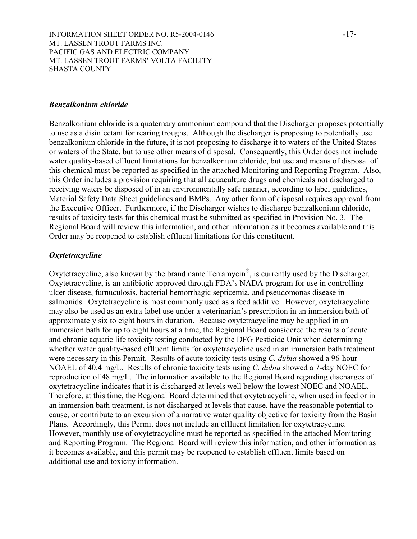INFORMATION SHEET ORDER NO. R5-2004-0146  $-17$ -MT. LASSEN TROUT FARMS INC. PACIFIC GAS AND ELECTRIC COMPANY MT. LASSEN TROUT FARMS' VOLTA FACILITY SHASTA COUNTY

#### *Benzalkonium chloride*

Benzalkonium chloride is a quaternary ammonium compound that the Discharger proposes potentially to use as a disinfectant for rearing troughs. Although the discharger is proposing to potentially use benzalkonium chloride in the future, it is not proposing to discharge it to waters of the United States or waters of the State, but to use other means of disposal. Consequently, this Order does not include water quality-based effluent limitations for benzalkonium chloride, but use and means of disposal of this chemical must be reported as specified in the attached Monitoring and Reporting Program. Also, this Order includes a provision requiring that all aquaculture drugs and chemicals not discharged to receiving waters be disposed of in an environmentally safe manner, according to label guidelines, Material Safety Data Sheet guidelines and BMPs. Any other form of disposal requires approval from the Executive Officer. Furthermore, if the Discharger wishes to discharge benzalkonium chloride, results of toxicity tests for this chemical must be submitted as specified in Provision No. 3. The Regional Board will review this information, and other information as it becomes available and this Order may be reopened to establish effluent limitations for this constituent.

#### *Oxytetracycline*

Oxytetracycline, also known by the brand name Terramycin®, is currently used by the Discharger. Oxytetracycline, is an antibiotic approved through FDA's NADA program for use in controlling ulcer disease, furnuculosis, bacterial hemorrhagic septicemia, and pseudomonas disease in salmonids. Oxytetracycline is most commonly used as a feed additive. However, oxytetracycline may also be used as an extra-label use under a veterinarian's prescription in an immersion bath of approximately six to eight hours in duration. Because oxytetracycline may be applied in an immersion bath for up to eight hours at a time, the Regional Board considered the results of acute and chronic aquatic life toxicity testing conducted by the DFG Pesticide Unit when determining whether water quality-based effluent limits for oxytetracycline used in an immersion bath treatment were necessary in this Permit. Results of acute toxicity tests using *C. dubia* showed a 96-hour NOAEL of 40.4 mg/L. Results of chronic toxicity tests using *C. dubia* showed a 7-day NOEC for reproduction of 48 mg/L. The information available to the Regional Board regarding discharges of oxytetracycline indicates that it is discharged at levels well below the lowest NOEC and NOAEL. Therefore, at this time, the Regional Board determined that oxytetracycline, when used in feed or in an immersion bath treatment, is not discharged at levels that cause, have the reasonable potential to cause, or contribute to an excursion of a narrative water quality objective for toxicity from the Basin Plans. Accordingly, this Permit does not include an effluent limitation for oxytetracycline. However, monthly use of oxytetracycline must be reported as specified in the attached Monitoring and Reporting Program. The Regional Board will review this information, and other information as it becomes available, and this permit may be reopened to establish effluent limits based on additional use and toxicity information.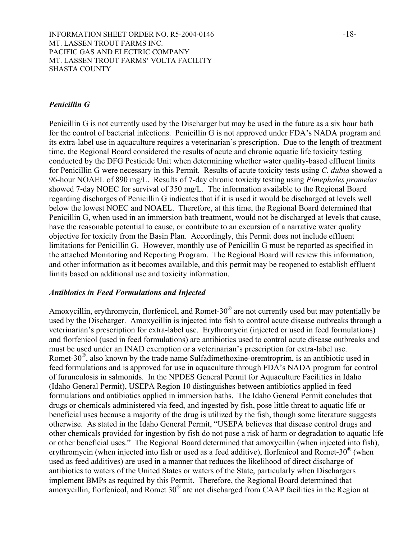# *Penicillin G*

Penicillin G is not currently used by the Discharger but may be used in the future as a six hour bath for the control of bacterial infections. Penicillin G is not approved under FDA's NADA program and its extra-label use in aquaculture requires a veterinarian's prescription. Due to the length of treatment time, the Regional Board considered the results of acute and chronic aquatic life toxicity testing conducted by the DFG Pesticide Unit when determining whether water quality-based effluent limits for Penicillin G were necessary in this Permit. Results of acute toxicity tests using *C. dubia* showed a 96-hour NOAEL of 890 mg/L. Results of 7-day chronic toxicity testing using *Pimephales promelas* showed 7-day NOEC for survival of 350 mg/L. The information available to the Regional Board regarding discharges of Penicillin G indicates that if it is used it would be discharged at levels well below the lowest NOEC and NOAEL. Therefore, at this time, the Regional Board determined that Penicillin G, when used in an immersion bath treatment, would not be discharged at levels that cause, have the reasonable potential to cause, or contribute to an excursion of a narrative water quality objective for toxicity from the Basin Plan. Accordingly, this Permit does not include effluent limitations for Penicillin G. However, monthly use of Penicillin G must be reported as specified in the attached Monitoring and Reporting Program. The Regional Board will review this information, and other information as it becomes available, and this permit may be reopened to establish effluent limits based on additional use and toxicity information.

## *Antibiotics in Feed Formulations and Injected*

Amoxycillin, erythromycin, florfenicol, and Romet-30® are not currently used but may potentially be used by the Discharger. Amoxycillin is injected into fish to control acute disease outbreaks through a veterinarian's prescription for extra-label use. Erythromycin (injected or used in feed formulations) and florfenicol (used in feed formulations) are antibiotics used to control acute disease outbreaks and must be used under an INAD exemption or a veterinarian's prescription for extra-label use. Romet-30 $^{\circ\circ}$ , also known by the trade name Sulfadimethoxine-oremtroprim, is an antibiotic used in feed formulations and is approved for use in aquaculture through FDA's NADA program for control of furunculosis in salmonids. In the NPDES General Permit for Aquaculture Facilities in Idaho (Idaho General Permit), USEPA Region 10 distinguishes between antibiotics applied in feed formulations and antibiotics applied in immersion baths. The Idaho General Permit concludes that drugs or chemicals administered via feed, and ingested by fish, pose little threat to aquatic life or beneficial uses because a majority of the drug is utilized by the fish, though some literature suggests otherwise. As stated in the Idaho General Permit, "USEPA believes that disease control drugs and other chemicals provided for ingestion by fish do not pose a risk of harm or degradation to aquatic life or other beneficial uses." The Regional Board determined that amoxycillin (when injected into fish), erythromycin (when injected into fish or used as a feed additive), florfenicol and Romet-30® (when used as feed additives) are used in a manner that reduces the likelihood of direct discharge of antibiotics to waters of the United States or waters of the State, particularly when Dischargers implement BMPs as required by this Permit. Therefore, the Regional Board determined that amoxycillin, florfenicol, and Romet 30® are not discharged from CAAP facilities in the Region at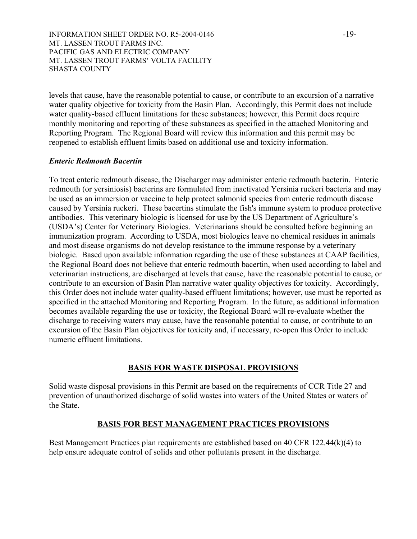INFORMATION SHEET ORDER NO. R5-2004-0146 -19-MT. LASSEN TROUT FARMS INC. PACIFIC GAS AND ELECTRIC COMPANY MT. LASSEN TROUT FARMS' VOLTA FACILITY SHASTA COUNTY

levels that cause, have the reasonable potential to cause, or contribute to an excursion of a narrative water quality objective for toxicity from the Basin Plan. Accordingly, this Permit does not include water quality-based effluent limitations for these substances; however, this Permit does require monthly monitoring and reporting of these substances as specified in the attached Monitoring and Reporting Program. The Regional Board will review this information and this permit may be reopened to establish effluent limits based on additional use and toxicity information.

## *Enteric Redmouth Bacertin*

To treat enteric redmouth disease, the Discharger may administer enteric redmouth bacterin. Enteric redmouth (or yersiniosis) bacterins are formulated from inactivated Yersinia ruckeri bacteria and may be used as an immersion or vaccine to help protect salmonid species from enteric redmouth disease caused by Yersinia ruckeri. These bacertins stimulate the fish's immune system to produce protective antibodies. This veterinary biologic is licensed for use by the US Department of Agriculture's (USDA's) Center for Veterinary Biologics. Veterinarians should be consulted before beginning an immunization program. According to USDA, most biologics leave no chemical residues in animals and most disease organisms do not develop resistance to the immune response by a veterinary biologic. Based upon available information regarding the use of these substances at CAAP facilities, the Regional Board does not believe that enteric redmouth bacertin, when used according to label and veterinarian instructions, are discharged at levels that cause, have the reasonable potential to cause, or contribute to an excursion of Basin Plan narrative water quality objectives for toxicity. Accordingly, this Order does not include water quality-based effluent limitations; however, use must be reported as specified in the attached Monitoring and Reporting Program. In the future, as additional information becomes available regarding the use or toxicity, the Regional Board will re-evaluate whether the discharge to receiving waters may cause, have the reasonable potential to cause, or contribute to an excursion of the Basin Plan objectives for toxicity and, if necessary, re-open this Order to include numeric effluent limitations.

#### **BASIS FOR WASTE DISPOSAL PROVISIONS**

Solid waste disposal provisions in this Permit are based on the requirements of CCR Title 27 and prevention of unauthorized discharge of solid wastes into waters of the United States or waters of the State.

# **BASIS FOR BEST MANAGEMENT PRACTICES PROVISIONS**

Best Management Practices plan requirements are established based on 40 CFR 122.44(k)(4) to help ensure adequate control of solids and other pollutants present in the discharge.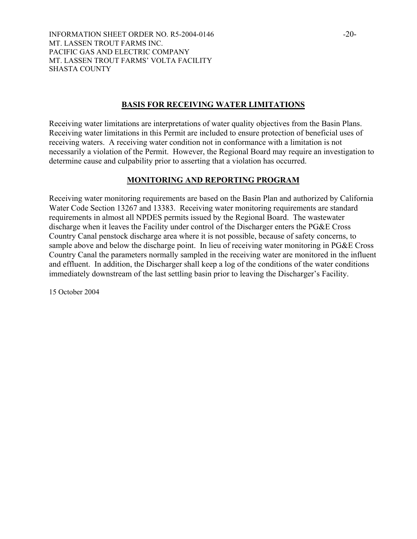INFORMATION SHEET ORDER NO. R5-2004-0146  $-20-$ MT. LASSEN TROUT FARMS INC. PACIFIC GAS AND ELECTRIC COMPANY MT. LASSEN TROUT FARMS' VOLTA FACILITY SHASTA COUNTY

# **BASIS FOR RECEIVING WATER LIMITATIONS**

Receiving water limitations are interpretations of water quality objectives from the Basin Plans. Receiving water limitations in this Permit are included to ensure protection of beneficial uses of receiving waters. A receiving water condition not in conformance with a limitation is not necessarily a violation of the Permit. However, the Regional Board may require an investigation to determine cause and culpability prior to asserting that a violation has occurred.

# **MONITORING AND REPORTING PROGRAM**

Receiving water monitoring requirements are based on the Basin Plan and authorized by California Water Code Section 13267 and 13383. Receiving water monitoring requirements are standard requirements in almost all NPDES permits issued by the Regional Board. The wastewater discharge when it leaves the Facility under control of the Discharger enters the PG&E Cross Country Canal penstock discharge area where it is not possible, because of safety concerns, to sample above and below the discharge point. In lieu of receiving water monitoring in PG&E Cross Country Canal the parameters normally sampled in the receiving water are monitored in the influent and effluent. In addition, the Discharger shall keep a log of the conditions of the water conditions immediately downstream of the last settling basin prior to leaving the Discharger's Facility.

15 October 2004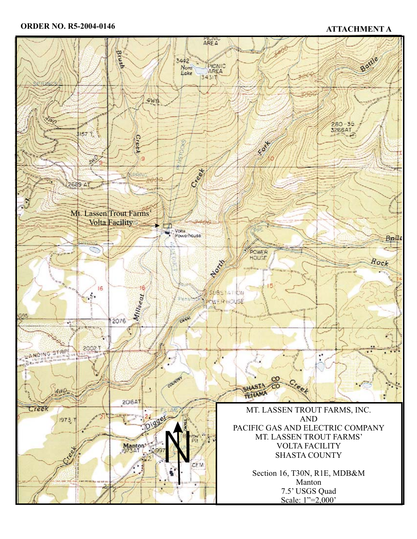# **ORDER NO. R5-2004-0146 ATTACHMENT A**